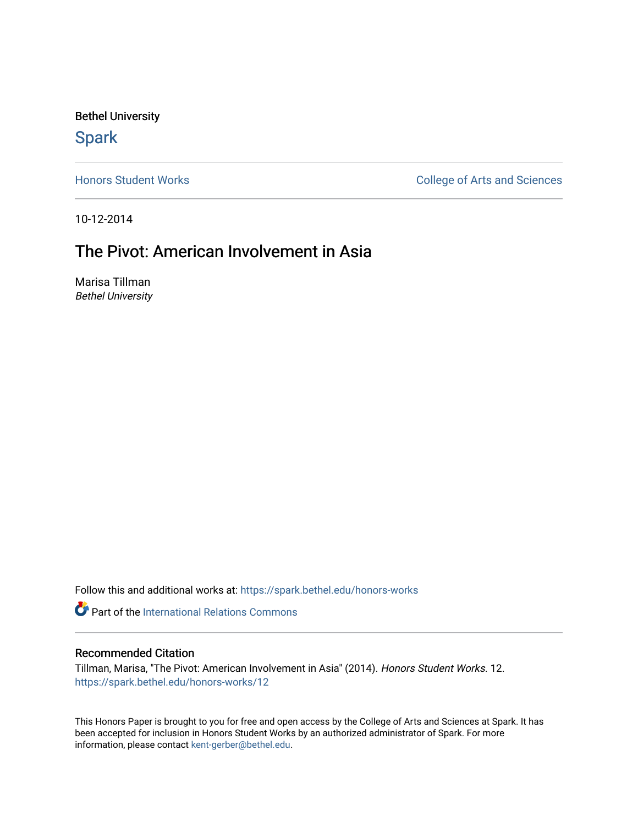Bethel University

# **Spark**

[Honors Student Works](https://spark.bethel.edu/honors-works) **College of Arts and Sciences** 

10-12-2014

# The Pivot: American Involvement in Asia

Marisa Tillman Bethel University

Follow this and additional works at: [https://spark.bethel.edu/honors-works](https://spark.bethel.edu/honors-works?utm_source=spark.bethel.edu%2Fhonors-works%2F12&utm_medium=PDF&utm_campaign=PDFCoverPages) 

**Part of the International Relations Commons** 

## Recommended Citation

Tillman, Marisa, "The Pivot: American Involvement in Asia" (2014). Honors Student Works. 12. [https://spark.bethel.edu/honors-works/12](https://spark.bethel.edu/honors-works/12?utm_source=spark.bethel.edu%2Fhonors-works%2F12&utm_medium=PDF&utm_campaign=PDFCoverPages)

This Honors Paper is brought to you for free and open access by the College of Arts and Sciences at Spark. It has been accepted for inclusion in Honors Student Works by an authorized administrator of Spark. For more information, please contact [kent-gerber@bethel.edu.](mailto:kent-gerber@bethel.edu)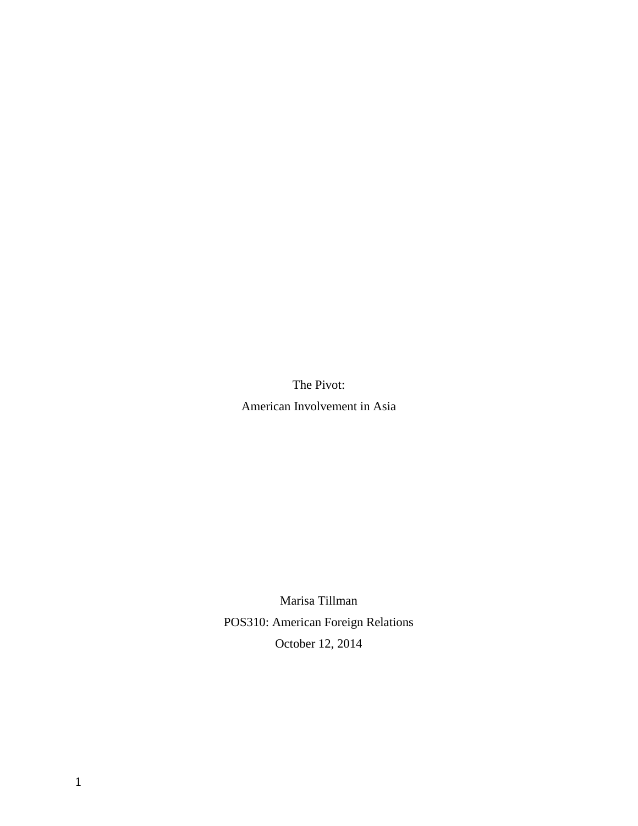The Pivot: American Involvement in Asia

Marisa Tillman POS310: American Foreign Relations October 12, 2014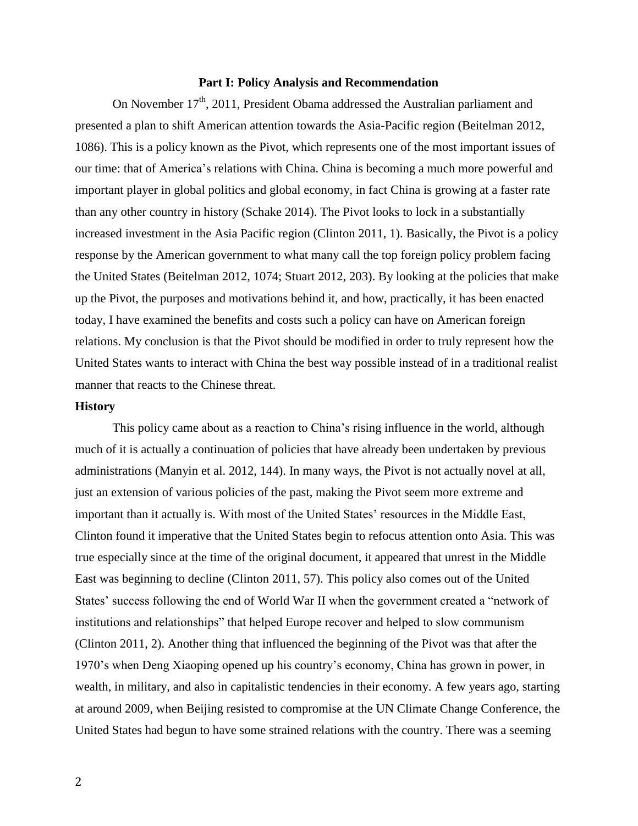#### **Part I: Policy Analysis and Recommendation**

On November 17<sup>th</sup>, 2011, President Obama addressed the Australian parliament and presented a plan to shift American attention towards the Asia-Pacific region (Beitelman 2012, 1086). This is a policy known as the Pivot, which represents one of the most important issues of our time: that of America's relations with China. China is becoming a much more powerful and important player in global politics and global economy, in fact China is growing at a faster rate than any other country in history (Schake 2014). The Pivot looks to lock in a substantially increased investment in the Asia Pacific region (Clinton 2011, 1). Basically, the Pivot is a policy response by the American government to what many call the top foreign policy problem facing the United States (Beitelman 2012, 1074; Stuart 2012, 203). By looking at the policies that make up the Pivot, the purposes and motivations behind it, and how, practically, it has been enacted today, I have examined the benefits and costs such a policy can have on American foreign relations. My conclusion is that the Pivot should be modified in order to truly represent how the United States wants to interact with China the best way possible instead of in a traditional realist manner that reacts to the Chinese threat.

#### **History**

This policy came about as a reaction to China's rising influence in the world, although much of it is actually a continuation of policies that have already been undertaken by previous administrations (Manyin et al. 2012, 144). In many ways, the Pivot is not actually novel at all, just an extension of various policies of the past, making the Pivot seem more extreme and important than it actually is. With most of the United States' resources in the Middle East, Clinton found it imperative that the United States begin to refocus attention onto Asia. This was true especially since at the time of the original document, it appeared that unrest in the Middle East was beginning to decline (Clinton 2011, 57). This policy also comes out of the United States' success following the end of World War II when the government created a "network of institutions and relationships" that helped Europe recover and helped to slow communism (Clinton 2011, 2). Another thing that influenced the beginning of the Pivot was that after the 1970's when Deng Xiaoping opened up his country's economy, China has grown in power, in wealth, in military, and also in capitalistic tendencies in their economy. A few years ago, starting at around 2009, when Beijing resisted to compromise at the UN Climate Change Conference, the United States had begun to have some strained relations with the country. There was a seeming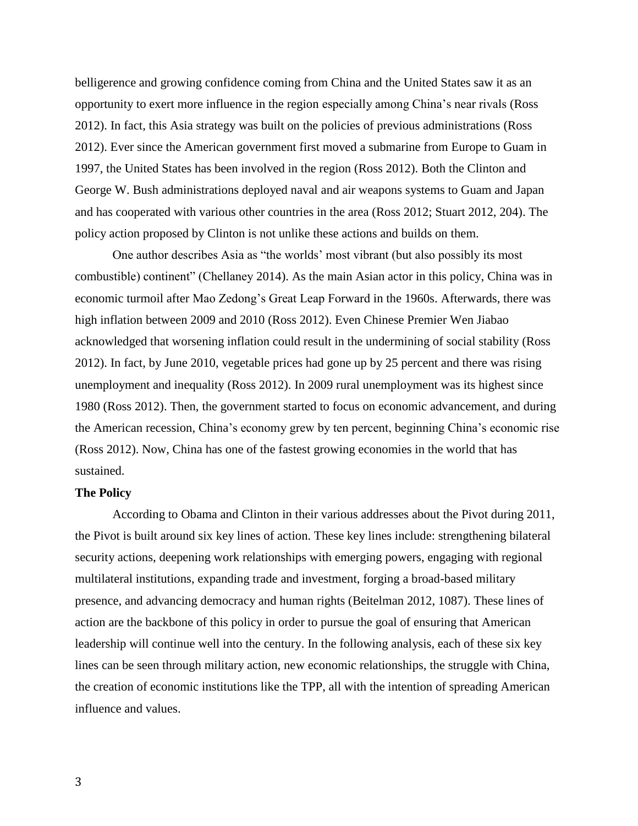belligerence and growing confidence coming from China and the United States saw it as an opportunity to exert more influence in the region especially among China's near rivals (Ross 2012). In fact, this Asia strategy was built on the policies of previous administrations (Ross 2012). Ever since the American government first moved a submarine from Europe to Guam in 1997, the United States has been involved in the region (Ross 2012). Both the Clinton and George W. Bush administrations deployed naval and air weapons systems to Guam and Japan and has cooperated with various other countries in the area (Ross 2012; Stuart 2012, 204). The policy action proposed by Clinton is not unlike these actions and builds on them.

One author describes Asia as "the worlds' most vibrant (but also possibly its most combustible) continent" (Chellaney 2014). As the main Asian actor in this policy, China was in economic turmoil after Mao Zedong's Great Leap Forward in the 1960s. Afterwards, there was high inflation between 2009 and 2010 (Ross 2012). Even Chinese Premier Wen Jiabao acknowledged that worsening inflation could result in the undermining of social stability (Ross 2012). In fact, by June 2010, vegetable prices had gone up by 25 percent and there was rising unemployment and inequality (Ross 2012). In 2009 rural unemployment was its highest since 1980 (Ross 2012). Then, the government started to focus on economic advancement, and during the American recession, China's economy grew by ten percent, beginning China's economic rise (Ross 2012). Now, China has one of the fastest growing economies in the world that has sustained.

### **The Policy**

According to Obama and Clinton in their various addresses about the Pivot during 2011, the Pivot is built around six key lines of action. These key lines include: strengthening bilateral security actions, deepening work relationships with emerging powers, engaging with regional multilateral institutions, expanding trade and investment, forging a broad-based military presence, and advancing democracy and human rights (Beitelman 2012, 1087). These lines of action are the backbone of this policy in order to pursue the goal of ensuring that American leadership will continue well into the century. In the following analysis, each of these six key lines can be seen through military action, new economic relationships, the struggle with China, the creation of economic institutions like the TPP, all with the intention of spreading American influence and values.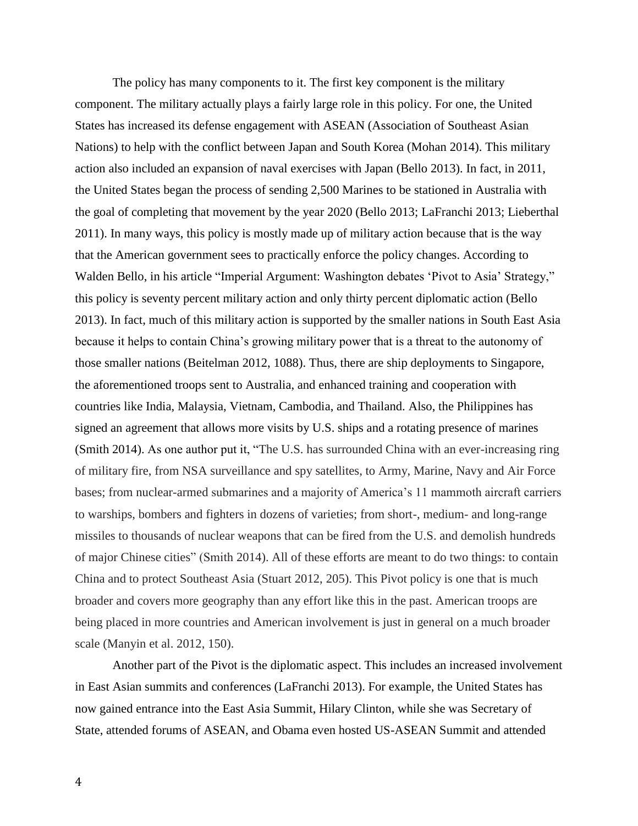The policy has many components to it. The first key component is the military component. The military actually plays a fairly large role in this policy. For one, the United States has increased its defense engagement with ASEAN (Association of Southeast Asian Nations) to help with the conflict between Japan and South Korea (Mohan 2014). This military action also included an expansion of naval exercises with Japan (Bello 2013). In fact, in 2011, the United States began the process of sending 2,500 Marines to be stationed in Australia with the goal of completing that movement by the year 2020 (Bello 2013; LaFranchi 2013; Lieberthal 2011). In many ways, this policy is mostly made up of military action because that is the way that the American government sees to practically enforce the policy changes. According to Walden Bello, in his article "Imperial Argument: Washington debates 'Pivot to Asia' Strategy," this policy is seventy percent military action and only thirty percent diplomatic action (Bello 2013). In fact, much of this military action is supported by the smaller nations in South East Asia because it helps to contain China's growing military power that is a threat to the autonomy of those smaller nations (Beitelman 2012, 1088). Thus, there are ship deployments to Singapore, the aforementioned troops sent to Australia, and enhanced training and cooperation with countries like India, Malaysia, Vietnam, Cambodia, and Thailand. Also, the Philippines has signed an agreement that allows more visits by U.S. ships and a rotating presence of marines (Smith 2014). As one author put it, "The U.S. has surrounded China with an ever-increasing ring of military fire, from NSA surveillance and spy satellites, to Army, Marine, Navy and Air Force bases; from nuclear-armed submarines and a majority of America's 11 mammoth aircraft carriers to warships, bombers and fighters in dozens of varieties; from short-, medium- and long-range missiles to thousands of nuclear weapons that can be fired from the U.S. and demolish hundreds of major Chinese cities" (Smith 2014). All of these efforts are meant to do two things: to contain China and to protect Southeast Asia (Stuart 2012, 205). This Pivot policy is one that is much broader and covers more geography than any effort like this in the past. American troops are being placed in more countries and American involvement is just in general on a much broader scale (Manyin et al. 2012, 150).

Another part of the Pivot is the diplomatic aspect. This includes an increased involvement in East Asian summits and conferences (LaFranchi 2013). For example, the United States has now gained entrance into the East Asia Summit, Hilary Clinton, while she was Secretary of State, attended forums of ASEAN, and Obama even hosted US-ASEAN Summit and attended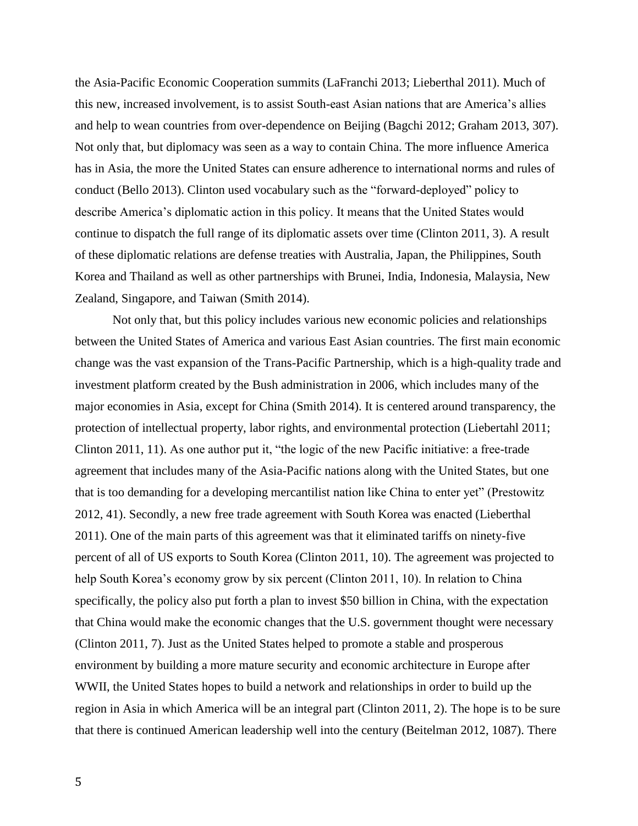the Asia-Pacific Economic Cooperation summits (LaFranchi 2013; Lieberthal 2011). Much of this new, increased involvement, is to assist South-east Asian nations that are America's allies and help to wean countries from over-dependence on Beijing (Bagchi 2012; Graham 2013, 307). Not only that, but diplomacy was seen as a way to contain China. The more influence America has in Asia, the more the United States can ensure adherence to international norms and rules of conduct (Bello 2013). Clinton used vocabulary such as the "forward-deployed" policy to describe America's diplomatic action in this policy. It means that the United States would continue to dispatch the full range of its diplomatic assets over time (Clinton 2011, 3). A result of these diplomatic relations are defense treaties with Australia, Japan, the Philippines, South Korea and Thailand as well as other partnerships with Brunei, India, Indonesia, Malaysia, New Zealand, Singapore, and Taiwan (Smith 2014).

Not only that, but this policy includes various new economic policies and relationships between the United States of America and various East Asian countries. The first main economic change was the vast expansion of the Trans-Pacific Partnership, which is a high-quality trade and investment platform created by the Bush administration in 2006, which includes many of the major economies in Asia, except for China (Smith 2014). It is centered around transparency, the protection of intellectual property, labor rights, and environmental protection (Liebertahl 2011; Clinton 2011, 11). As one author put it, "the logic of the new Pacific initiative: a free-trade agreement that includes many of the Asia-Pacific nations along with the United States, but one that is too demanding for a developing mercantilist nation like China to enter yet" (Prestowitz 2012, 41). Secondly, a new free trade agreement with South Korea was enacted (Lieberthal 2011). One of the main parts of this agreement was that it eliminated tariffs on ninety-five percent of all of US exports to South Korea (Clinton 2011, 10). The agreement was projected to help South Korea's economy grow by six percent (Clinton 2011, 10). In relation to China specifically, the policy also put forth a plan to invest \$50 billion in China, with the expectation that China would make the economic changes that the U.S. government thought were necessary (Clinton 2011, 7). Just as the United States helped to promote a stable and prosperous environment by building a more mature security and economic architecture in Europe after WWII, the United States hopes to build a network and relationships in order to build up the region in Asia in which America will be an integral part (Clinton 2011, 2). The hope is to be sure that there is continued American leadership well into the century (Beitelman 2012, 1087). There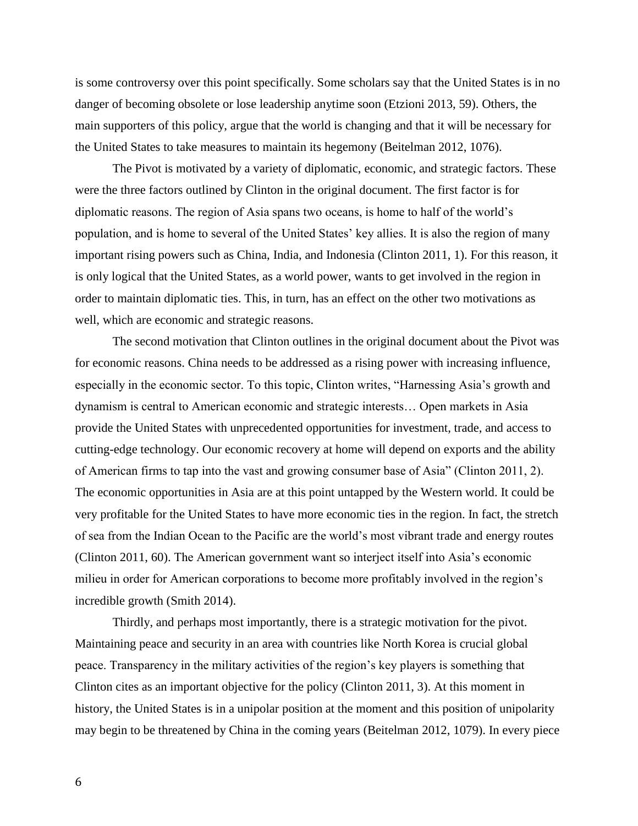is some controversy over this point specifically. Some scholars say that the United States is in no danger of becoming obsolete or lose leadership anytime soon (Etzioni 2013, 59). Others, the main supporters of this policy, argue that the world is changing and that it will be necessary for the United States to take measures to maintain its hegemony (Beitelman 2012, 1076).

The Pivot is motivated by a variety of diplomatic, economic, and strategic factors. These were the three factors outlined by Clinton in the original document. The first factor is for diplomatic reasons. The region of Asia spans two oceans, is home to half of the world's population, and is home to several of the United States' key allies. It is also the region of many important rising powers such as China, India, and Indonesia (Clinton 2011, 1). For this reason, it is only logical that the United States, as a world power, wants to get involved in the region in order to maintain diplomatic ties. This, in turn, has an effect on the other two motivations as well, which are economic and strategic reasons.

The second motivation that Clinton outlines in the original document about the Pivot was for economic reasons. China needs to be addressed as a rising power with increasing influence, especially in the economic sector. To this topic, Clinton writes, "Harnessing Asia's growth and dynamism is central to American economic and strategic interests… Open markets in Asia provide the United States with unprecedented opportunities for investment, trade, and access to cutting-edge technology. Our economic recovery at home will depend on exports and the ability of American firms to tap into the vast and growing consumer base of Asia" (Clinton 2011, 2). The economic opportunities in Asia are at this point untapped by the Western world. It could be very profitable for the United States to have more economic ties in the region. In fact, the stretch of sea from the Indian Ocean to the Pacific are the world's most vibrant trade and energy routes (Clinton 2011, 60). The American government want so interject itself into Asia's economic milieu in order for American corporations to become more profitably involved in the region's incredible growth (Smith 2014).

Thirdly, and perhaps most importantly, there is a strategic motivation for the pivot. Maintaining peace and security in an area with countries like North Korea is crucial global peace. Transparency in the military activities of the region's key players is something that Clinton cites as an important objective for the policy (Clinton 2011, 3). At this moment in history, the United States is in a unipolar position at the moment and this position of unipolarity may begin to be threatened by China in the coming years (Beitelman 2012, 1079). In every piece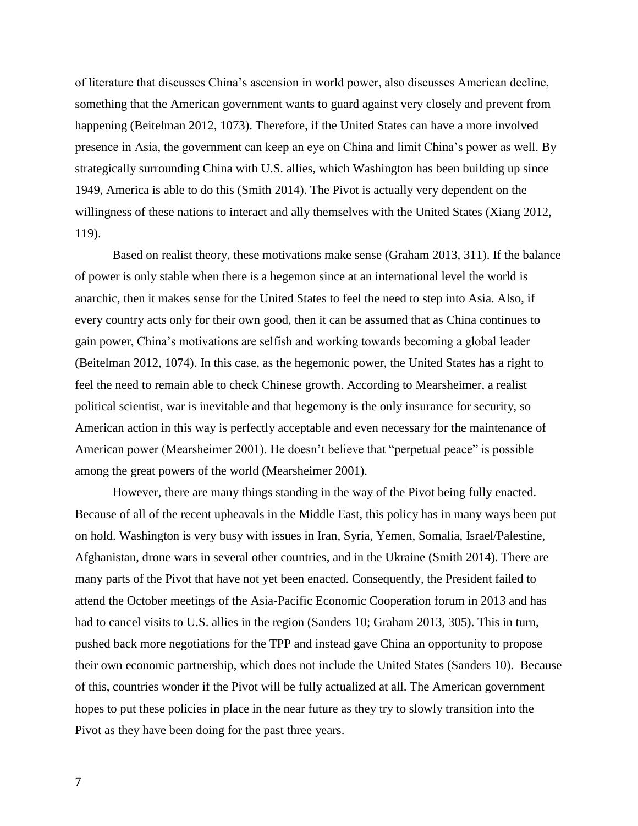of literature that discusses China's ascension in world power, also discusses American decline, something that the American government wants to guard against very closely and prevent from happening (Beitelman 2012, 1073). Therefore, if the United States can have a more involved presence in Asia, the government can keep an eye on China and limit China's power as well. By strategically surrounding China with U.S. allies, which Washington has been building up since 1949, America is able to do this (Smith 2014). The Pivot is actually very dependent on the willingness of these nations to interact and ally themselves with the United States (Xiang 2012, 119).

Based on realist theory, these motivations make sense (Graham 2013, 311). If the balance of power is only stable when there is a hegemon since at an international level the world is anarchic, then it makes sense for the United States to feel the need to step into Asia. Also, if every country acts only for their own good, then it can be assumed that as China continues to gain power, China's motivations are selfish and working towards becoming a global leader (Beitelman 2012, 1074). In this case, as the hegemonic power, the United States has a right to feel the need to remain able to check Chinese growth. According to Mearsheimer, a realist political scientist, war is inevitable and that hegemony is the only insurance for security, so American action in this way is perfectly acceptable and even necessary for the maintenance of American power (Mearsheimer 2001). He doesn't believe that "perpetual peace" is possible among the great powers of the world (Mearsheimer 2001).

However, there are many things standing in the way of the Pivot being fully enacted. Because of all of the recent upheavals in the Middle East, this policy has in many ways been put on hold. Washington is very busy with issues in Iran, Syria, Yemen, Somalia, Israel/Palestine, Afghanistan, drone wars in several other countries, and in the Ukraine (Smith 2014). There are many parts of the Pivot that have not yet been enacted. Consequently, the President failed to attend the October meetings of the Asia-Pacific Economic Cooperation forum in 2013 and has had to cancel visits to U.S. allies in the region (Sanders 10; Graham 2013, 305). This in turn, pushed back more negotiations for the TPP and instead gave China an opportunity to propose their own economic partnership, which does not include the United States (Sanders 10). Because of this, countries wonder if the Pivot will be fully actualized at all. The American government hopes to put these policies in place in the near future as they try to slowly transition into the Pivot as they have been doing for the past three years.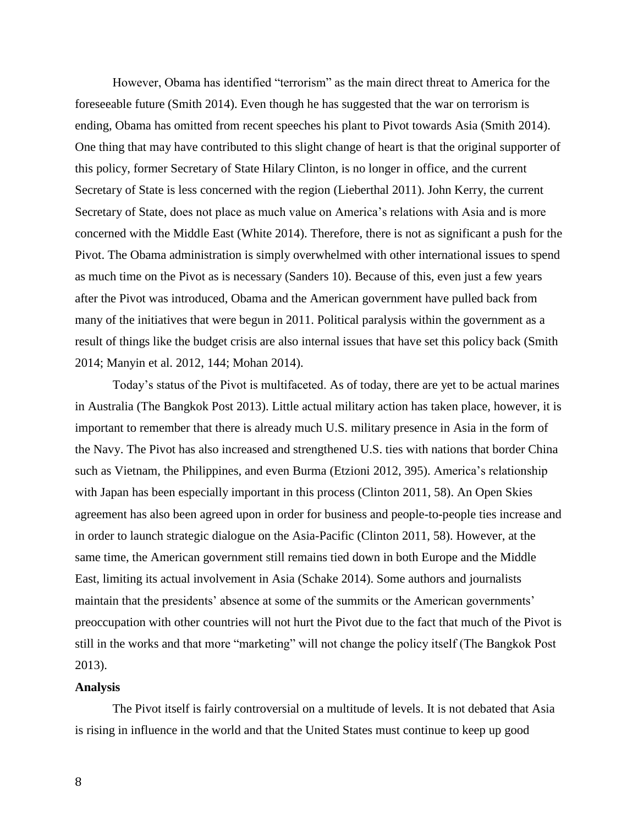However, Obama has identified "terrorism" as the main direct threat to America for the foreseeable future (Smith 2014). Even though he has suggested that the war on terrorism is ending, Obama has omitted from recent speeches his plant to Pivot towards Asia (Smith 2014). One thing that may have contributed to this slight change of heart is that the original supporter of this policy, former Secretary of State Hilary Clinton, is no longer in office, and the current Secretary of State is less concerned with the region (Lieberthal 2011). John Kerry, the current Secretary of State, does not place as much value on America's relations with Asia and is more concerned with the Middle East (White 2014). Therefore, there is not as significant a push for the Pivot. The Obama administration is simply overwhelmed with other international issues to spend as much time on the Pivot as is necessary (Sanders 10). Because of this, even just a few years after the Pivot was introduced, Obama and the American government have pulled back from many of the initiatives that were begun in 2011. Political paralysis within the government as a result of things like the budget crisis are also internal issues that have set this policy back (Smith 2014; Manyin et al. 2012, 144; Mohan 2014).

Today's status of the Pivot is multifaceted. As of today, there are yet to be actual marines in Australia (The Bangkok Post 2013). Little actual military action has taken place, however, it is important to remember that there is already much U.S. military presence in Asia in the form of the Navy. The Pivot has also increased and strengthened U.S. ties with nations that border China such as Vietnam, the Philippines, and even Burma (Etzioni 2012, 395). America's relationship with Japan has been especially important in this process (Clinton 2011, 58). An Open Skies agreement has also been agreed upon in order for business and people-to-people ties increase and in order to launch strategic dialogue on the Asia-Pacific (Clinton 2011, 58). However, at the same time, the American government still remains tied down in both Europe and the Middle East, limiting its actual involvement in Asia (Schake 2014). Some authors and journalists maintain that the presidents' absence at some of the summits or the American governments' preoccupation with other countries will not hurt the Pivot due to the fact that much of the Pivot is still in the works and that more "marketing" will not change the policy itself (The Bangkok Post 2013).

#### **Analysis**

The Pivot itself is fairly controversial on a multitude of levels. It is not debated that Asia is rising in influence in the world and that the United States must continue to keep up good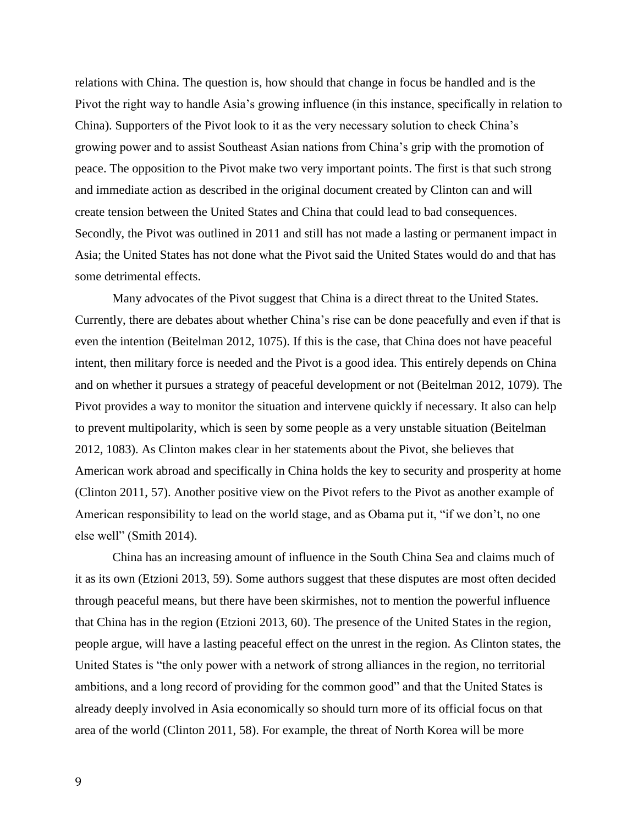relations with China. The question is, how should that change in focus be handled and is the Pivot the right way to handle Asia's growing influence (in this instance, specifically in relation to China). Supporters of the Pivot look to it as the very necessary solution to check China's growing power and to assist Southeast Asian nations from China's grip with the promotion of peace. The opposition to the Pivot make two very important points. The first is that such strong and immediate action as described in the original document created by Clinton can and will create tension between the United States and China that could lead to bad consequences. Secondly, the Pivot was outlined in 2011 and still has not made a lasting or permanent impact in Asia; the United States has not done what the Pivot said the United States would do and that has some detrimental effects.

Many advocates of the Pivot suggest that China is a direct threat to the United States. Currently, there are debates about whether China's rise can be done peacefully and even if that is even the intention (Beitelman 2012, 1075). If this is the case, that China does not have peaceful intent, then military force is needed and the Pivot is a good idea. This entirely depends on China and on whether it pursues a strategy of peaceful development or not (Beitelman 2012, 1079). The Pivot provides a way to monitor the situation and intervene quickly if necessary. It also can help to prevent multipolarity, which is seen by some people as a very unstable situation (Beitelman 2012, 1083). As Clinton makes clear in her statements about the Pivot, she believes that American work abroad and specifically in China holds the key to security and prosperity at home (Clinton 2011, 57). Another positive view on the Pivot refers to the Pivot as another example of American responsibility to lead on the world stage, and as Obama put it, "if we don't, no one else well" (Smith 2014).

China has an increasing amount of influence in the South China Sea and claims much of it as its own (Etzioni 2013, 59). Some authors suggest that these disputes are most often decided through peaceful means, but there have been skirmishes, not to mention the powerful influence that China has in the region (Etzioni 2013, 60). The presence of the United States in the region, people argue, will have a lasting peaceful effect on the unrest in the region. As Clinton states, the United States is "the only power with a network of strong alliances in the region, no territorial ambitions, and a long record of providing for the common good" and that the United States is already deeply involved in Asia economically so should turn more of its official focus on that area of the world (Clinton 2011, 58). For example, the threat of North Korea will be more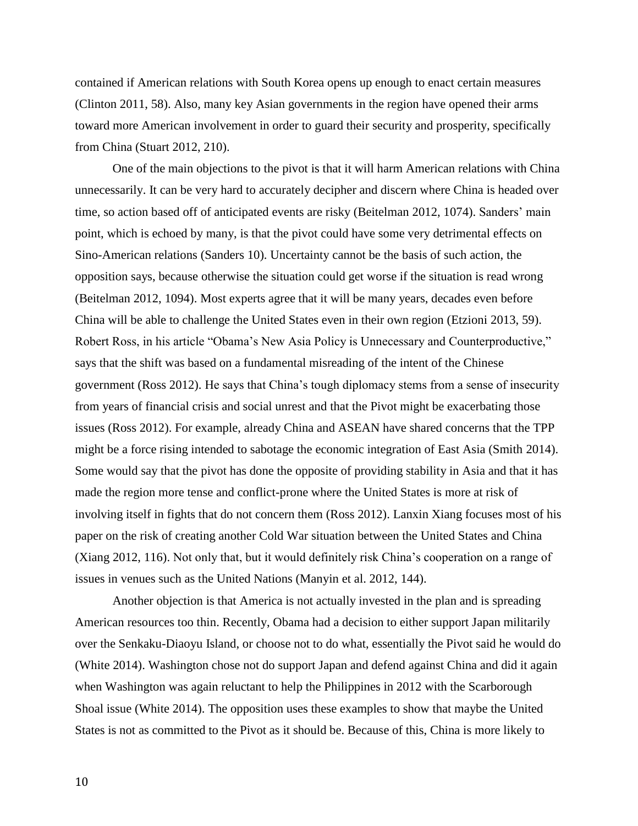contained if American relations with South Korea opens up enough to enact certain measures (Clinton 2011, 58). Also, many key Asian governments in the region have opened their arms toward more American involvement in order to guard their security and prosperity, specifically from China (Stuart 2012, 210).

One of the main objections to the pivot is that it will harm American relations with China unnecessarily. It can be very hard to accurately decipher and discern where China is headed over time, so action based off of anticipated events are risky (Beitelman 2012, 1074). Sanders' main point, which is echoed by many, is that the pivot could have some very detrimental effects on Sino-American relations (Sanders 10). Uncertainty cannot be the basis of such action, the opposition says, because otherwise the situation could get worse if the situation is read wrong (Beitelman 2012, 1094). Most experts agree that it will be many years, decades even before China will be able to challenge the United States even in their own region (Etzioni 2013, 59). Robert Ross, in his article "Obama's New Asia Policy is Unnecessary and Counterproductive," says that the shift was based on a fundamental misreading of the intent of the Chinese government (Ross 2012). He says that China's tough diplomacy stems from a sense of insecurity from years of financial crisis and social unrest and that the Pivot might be exacerbating those issues (Ross 2012). For example, already China and ASEAN have shared concerns that the TPP might be a force rising intended to sabotage the economic integration of East Asia (Smith 2014). Some would say that the pivot has done the opposite of providing stability in Asia and that it has made the region more tense and conflict-prone where the United States is more at risk of involving itself in fights that do not concern them (Ross 2012). Lanxin Xiang focuses most of his paper on the risk of creating another Cold War situation between the United States and China (Xiang 2012, 116). Not only that, but it would definitely risk China's cooperation on a range of issues in venues such as the United Nations (Manyin et al. 2012, 144).

Another objection is that America is not actually invested in the plan and is spreading American resources too thin. Recently, Obama had a decision to either support Japan militarily over the Senkaku-Diaoyu Island, or choose not to do what, essentially the Pivot said he would do (White 2014). Washington chose not do support Japan and defend against China and did it again when Washington was again reluctant to help the Philippines in 2012 with the Scarborough Shoal issue (White 2014). The opposition uses these examples to show that maybe the United States is not as committed to the Pivot as it should be. Because of this, China is more likely to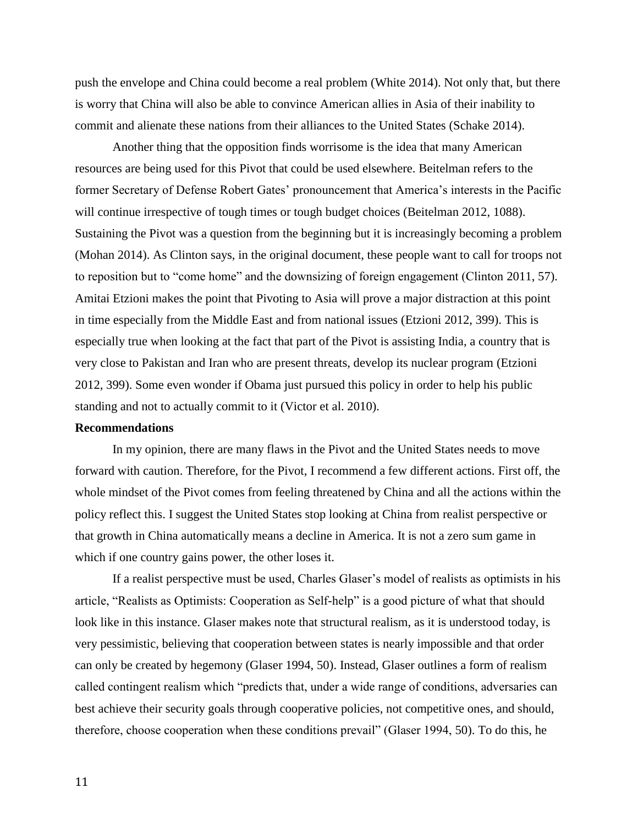push the envelope and China could become a real problem (White 2014). Not only that, but there is worry that China will also be able to convince American allies in Asia of their inability to commit and alienate these nations from their alliances to the United States (Schake 2014).

Another thing that the opposition finds worrisome is the idea that many American resources are being used for this Pivot that could be used elsewhere. Beitelman refers to the former Secretary of Defense Robert Gates' pronouncement that America's interests in the Pacific will continue irrespective of tough times or tough budget choices (Beitelman 2012, 1088). Sustaining the Pivot was a question from the beginning but it is increasingly becoming a problem (Mohan 2014). As Clinton says, in the original document, these people want to call for troops not to reposition but to "come home" and the downsizing of foreign engagement (Clinton 2011, 57). Amitai Etzioni makes the point that Pivoting to Asia will prove a major distraction at this point in time especially from the Middle East and from national issues (Etzioni 2012, 399). This is especially true when looking at the fact that part of the Pivot is assisting India, a country that is very close to Pakistan and Iran who are present threats, develop its nuclear program (Etzioni 2012, 399). Some even wonder if Obama just pursued this policy in order to help his public standing and not to actually commit to it (Victor et al. 2010).

# **Recommendations**

In my opinion, there are many flaws in the Pivot and the United States needs to move forward with caution. Therefore, for the Pivot, I recommend a few different actions. First off, the whole mindset of the Pivot comes from feeling threatened by China and all the actions within the policy reflect this. I suggest the United States stop looking at China from realist perspective or that growth in China automatically means a decline in America. It is not a zero sum game in which if one country gains power, the other loses it.

If a realist perspective must be used, Charles Glaser's model of realists as optimists in his article, "Realists as Optimists: Cooperation as Self-help" is a good picture of what that should look like in this instance. Glaser makes note that structural realism, as it is understood today, is very pessimistic, believing that cooperation between states is nearly impossible and that order can only be created by hegemony (Glaser 1994, 50). Instead, Glaser outlines a form of realism called contingent realism which "predicts that, under a wide range of conditions, adversaries can best achieve their security goals through cooperative policies, not competitive ones, and should, therefore, choose cooperation when these conditions prevail" (Glaser 1994, 50). To do this, he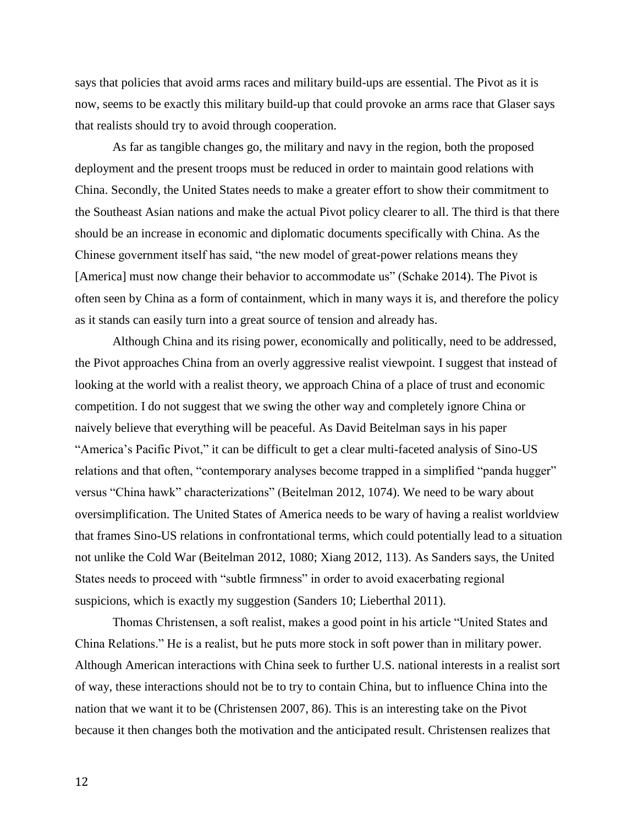says that policies that avoid arms races and military build-ups are essential. The Pivot as it is now, seems to be exactly this military build-up that could provoke an arms race that Glaser says that realists should try to avoid through cooperation.

As far as tangible changes go, the military and navy in the region, both the proposed deployment and the present troops must be reduced in order to maintain good relations with China. Secondly, the United States needs to make a greater effort to show their commitment to the Southeast Asian nations and make the actual Pivot policy clearer to all. The third is that there should be an increase in economic and diplomatic documents specifically with China. As the Chinese government itself has said, "the new model of great-power relations means they [America] must now change their behavior to accommodate us" (Schake 2014). The Pivot is often seen by China as a form of containment, which in many ways it is, and therefore the policy as it stands can easily turn into a great source of tension and already has.

Although China and its rising power, economically and politically, need to be addressed, the Pivot approaches China from an overly aggressive realist viewpoint. I suggest that instead of looking at the world with a realist theory, we approach China of a place of trust and economic competition. I do not suggest that we swing the other way and completely ignore China or naively believe that everything will be peaceful. As David Beitelman says in his paper "America's Pacific Pivot," it can be difficult to get a clear multi-faceted analysis of Sino-US relations and that often, "contemporary analyses become trapped in a simplified "panda hugger" versus "China hawk" characterizations" (Beitelman 2012, 1074). We need to be wary about oversimplification. The United States of America needs to be wary of having a realist worldview that frames Sino-US relations in confrontational terms, which could potentially lead to a situation not unlike the Cold War (Beitelman 2012, 1080; Xiang 2012, 113). As Sanders says, the United States needs to proceed with "subtle firmness" in order to avoid exacerbating regional suspicions, which is exactly my suggestion (Sanders 10; Lieberthal 2011).

Thomas Christensen, a soft realist, makes a good point in his article "United States and China Relations." He is a realist, but he puts more stock in soft power than in military power. Although American interactions with China seek to further U.S. national interests in a realist sort of way, these interactions should not be to try to contain China, but to influence China into the nation that we want it to be (Christensen 2007, 86). This is an interesting take on the Pivot because it then changes both the motivation and the anticipated result. Christensen realizes that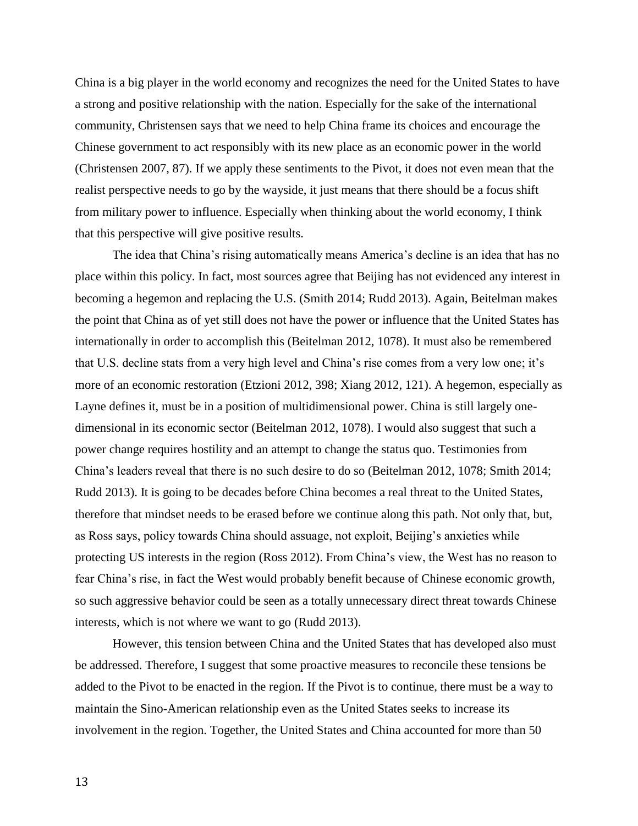China is a big player in the world economy and recognizes the need for the United States to have a strong and positive relationship with the nation. Especially for the sake of the international community, Christensen says that we need to help China frame its choices and encourage the Chinese government to act responsibly with its new place as an economic power in the world (Christensen 2007, 87). If we apply these sentiments to the Pivot, it does not even mean that the realist perspective needs to go by the wayside, it just means that there should be a focus shift from military power to influence. Especially when thinking about the world economy, I think that this perspective will give positive results.

The idea that China's rising automatically means America's decline is an idea that has no place within this policy. In fact, most sources agree that Beijing has not evidenced any interest in becoming a hegemon and replacing the U.S. (Smith 2014; Rudd 2013). Again, Beitelman makes the point that China as of yet still does not have the power or influence that the United States has internationally in order to accomplish this (Beitelman 2012, 1078). It must also be remembered that U.S. decline stats from a very high level and China's rise comes from a very low one; it's more of an economic restoration (Etzioni 2012, 398; Xiang 2012, 121). A hegemon, especially as Layne defines it, must be in a position of multidimensional power. China is still largely onedimensional in its economic sector (Beitelman 2012, 1078). I would also suggest that such a power change requires hostility and an attempt to change the status quo. Testimonies from China's leaders reveal that there is no such desire to do so (Beitelman 2012, 1078; Smith 2014; Rudd 2013). It is going to be decades before China becomes a real threat to the United States, therefore that mindset needs to be erased before we continue along this path. Not only that, but, as Ross says, policy towards China should assuage, not exploit, Beijing's anxieties while protecting US interests in the region (Ross 2012). From China's view, the West has no reason to fear China's rise, in fact the West would probably benefit because of Chinese economic growth, so such aggressive behavior could be seen as a totally unnecessary direct threat towards Chinese interests, which is not where we want to go (Rudd 2013).

However, this tension between China and the United States that has developed also must be addressed. Therefore, I suggest that some proactive measures to reconcile these tensions be added to the Pivot to be enacted in the region. If the Pivot is to continue, there must be a way to maintain the Sino-American relationship even as the United States seeks to increase its involvement in the region. Together, the United States and China accounted for more than 50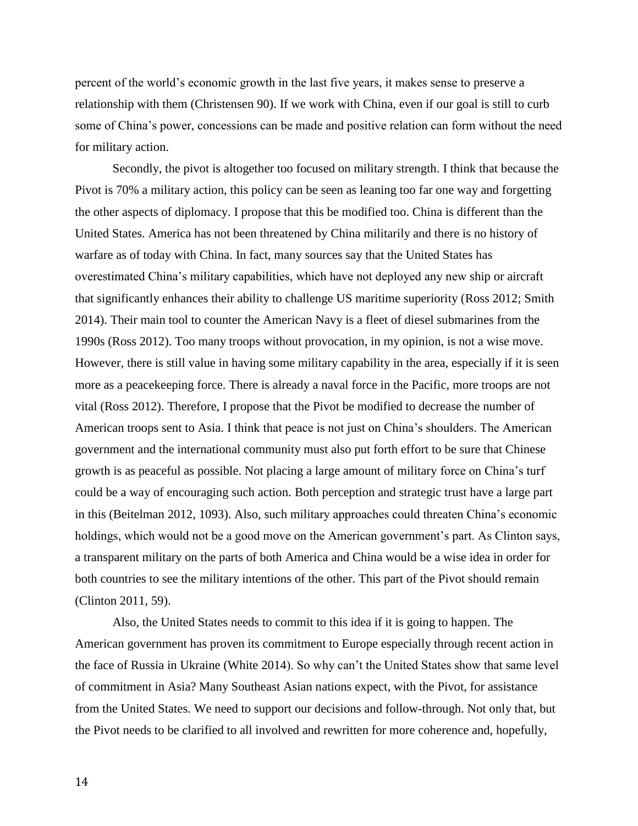percent of the world's economic growth in the last five years, it makes sense to preserve a relationship with them (Christensen 90). If we work with China, even if our goal is still to curb some of China's power, concessions can be made and positive relation can form without the need for military action.

Secondly, the pivot is altogether too focused on military strength. I think that because the Pivot is 70% a military action, this policy can be seen as leaning too far one way and forgetting the other aspects of diplomacy. I propose that this be modified too. China is different than the United States. America has not been threatened by China militarily and there is no history of warfare as of today with China. In fact, many sources say that the United States has overestimated China's military capabilities, which have not deployed any new ship or aircraft that significantly enhances their ability to challenge US maritime superiority (Ross 2012; Smith 2014). Their main tool to counter the American Navy is a fleet of diesel submarines from the 1990s (Ross 2012). Too many troops without provocation, in my opinion, is not a wise move. However, there is still value in having some military capability in the area, especially if it is seen more as a peacekeeping force. There is already a naval force in the Pacific, more troops are not vital (Ross 2012). Therefore, I propose that the Pivot be modified to decrease the number of American troops sent to Asia. I think that peace is not just on China's shoulders. The American government and the international community must also put forth effort to be sure that Chinese growth is as peaceful as possible. Not placing a large amount of military force on China's turf could be a way of encouraging such action. Both perception and strategic trust have a large part in this (Beitelman 2012, 1093). Also, such military approaches could threaten China's economic holdings, which would not be a good move on the American government's part. As Clinton says, a transparent military on the parts of both America and China would be a wise idea in order for both countries to see the military intentions of the other. This part of the Pivot should remain (Clinton 2011, 59).

Also, the United States needs to commit to this idea if it is going to happen. The American government has proven its commitment to Europe especially through recent action in the face of Russia in Ukraine (White 2014). So why can't the United States show that same level of commitment in Asia? Many Southeast Asian nations expect, with the Pivot, for assistance from the United States. We need to support our decisions and follow-through. Not only that, but the Pivot needs to be clarified to all involved and rewritten for more coherence and, hopefully,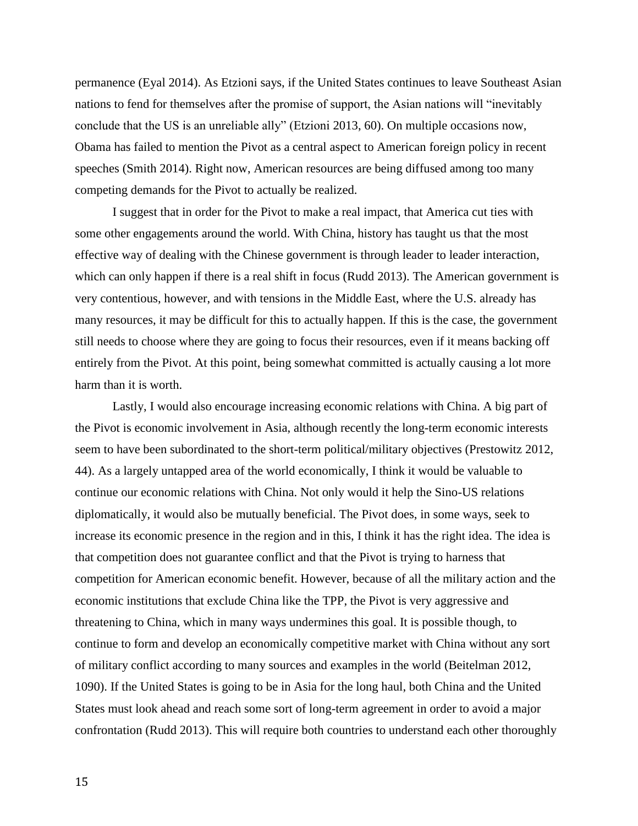permanence (Eyal 2014). As Etzioni says, if the United States continues to leave Southeast Asian nations to fend for themselves after the promise of support, the Asian nations will "inevitably conclude that the US is an unreliable ally" (Etzioni 2013, 60). On multiple occasions now, Obama has failed to mention the Pivot as a central aspect to American foreign policy in recent speeches (Smith 2014). Right now, American resources are being diffused among too many competing demands for the Pivot to actually be realized.

I suggest that in order for the Pivot to make a real impact, that America cut ties with some other engagements around the world. With China, history has taught us that the most effective way of dealing with the Chinese government is through leader to leader interaction, which can only happen if there is a real shift in focus (Rudd 2013). The American government is very contentious, however, and with tensions in the Middle East, where the U.S. already has many resources, it may be difficult for this to actually happen. If this is the case, the government still needs to choose where they are going to focus their resources, even if it means backing off entirely from the Pivot. At this point, being somewhat committed is actually causing a lot more harm than it is worth.

Lastly, I would also encourage increasing economic relations with China. A big part of the Pivot is economic involvement in Asia, although recently the long-term economic interests seem to have been subordinated to the short-term political/military objectives (Prestowitz 2012, 44). As a largely untapped area of the world economically, I think it would be valuable to continue our economic relations with China. Not only would it help the Sino-US relations diplomatically, it would also be mutually beneficial. The Pivot does, in some ways, seek to increase its economic presence in the region and in this, I think it has the right idea. The idea is that competition does not guarantee conflict and that the Pivot is trying to harness that competition for American economic benefit. However, because of all the military action and the economic institutions that exclude China like the TPP, the Pivot is very aggressive and threatening to China, which in many ways undermines this goal. It is possible though, to continue to form and develop an economically competitive market with China without any sort of military conflict according to many sources and examples in the world (Beitelman 2012, 1090). If the United States is going to be in Asia for the long haul, both China and the United States must look ahead and reach some sort of long-term agreement in order to avoid a major confrontation (Rudd 2013). This will require both countries to understand each other thoroughly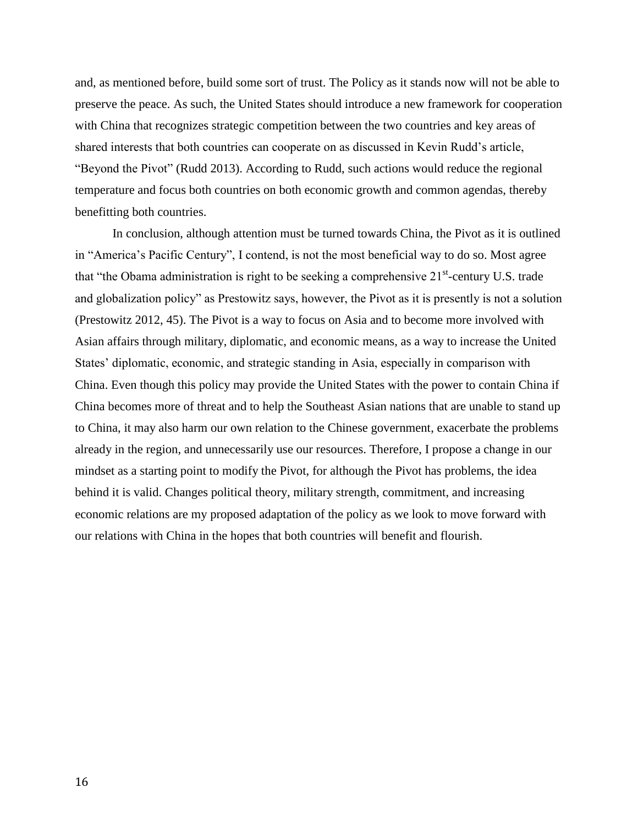and, as mentioned before, build some sort of trust. The Policy as it stands now will not be able to preserve the peace. As such, the United States should introduce a new framework for cooperation with China that recognizes strategic competition between the two countries and key areas of shared interests that both countries can cooperate on as discussed in Kevin Rudd's article, "Beyond the Pivot" (Rudd 2013). According to Rudd, such actions would reduce the regional temperature and focus both countries on both economic growth and common agendas, thereby benefitting both countries.

In conclusion, although attention must be turned towards China, the Pivot as it is outlined in "America's Pacific Century", I contend, is not the most beneficial way to do so. Most agree that "the Obama administration is right to be seeking a comprehensive  $21<sup>st</sup>$ -century U.S. trade and globalization policy" as Prestowitz says, however, the Pivot as it is presently is not a solution (Prestowitz 2012, 45). The Pivot is a way to focus on Asia and to become more involved with Asian affairs through military, diplomatic, and economic means, as a way to increase the United States' diplomatic, economic, and strategic standing in Asia, especially in comparison with China. Even though this policy may provide the United States with the power to contain China if China becomes more of threat and to help the Southeast Asian nations that are unable to stand up to China, it may also harm our own relation to the Chinese government, exacerbate the problems already in the region, and unnecessarily use our resources. Therefore, I propose a change in our mindset as a starting point to modify the Pivot, for although the Pivot has problems, the idea behind it is valid. Changes political theory, military strength, commitment, and increasing economic relations are my proposed adaptation of the policy as we look to move forward with our relations with China in the hopes that both countries will benefit and flourish.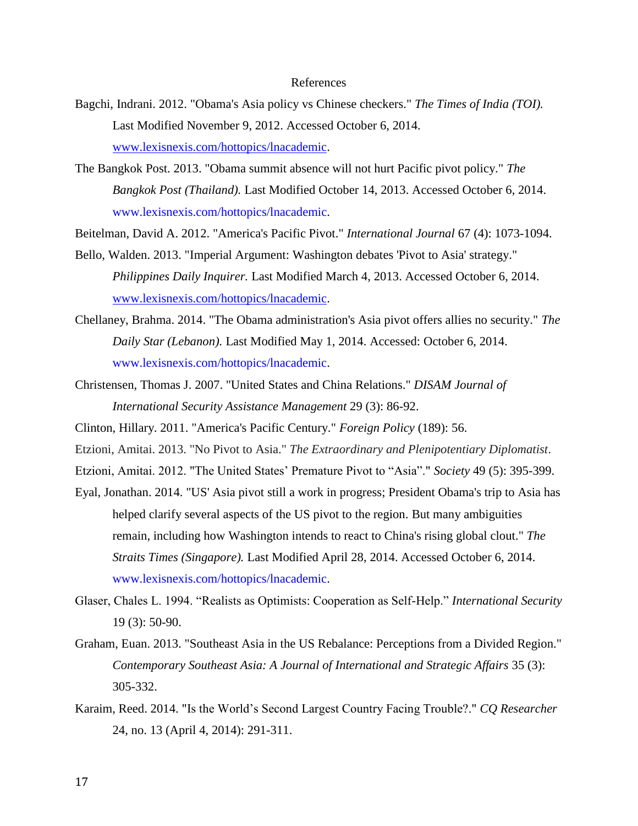#### References

- Bagchi, Indrani. 2012. "Obama's Asia policy vs Chinese checkers." *The Times of India (TOI).*  Last Modified November 9, 2012. Accessed October 6, 2014. [www.lexisnexis.com/hottopics/lnacademic.](http://www.lexisnexis.com/hottopics/lnacademic)
- The Bangkok Post. 2013. "Obama summit absence will not hurt Pacific pivot policy." *The Bangkok Post (Thailand).* Last Modified October 14, 2013. Accessed October 6, 2014. [www.lexisnexis.com/hottopics/lnacademic.](http://www.lexisnexis.com/hottopics/lnacademic)
- Beitelman, David A. 2012. "America's Pacific Pivot." *International Journal* 67 (4): 1073-1094.
- Bello, Walden. 2013. "Imperial Argument: Washington debates 'Pivot to Asia' strategy." *Philippines Daily Inquirer.* Last Modified March 4, 2013. Accessed October 6, 2014. [www.lexisnexis.com/hottopics/lnacademic.](http://www.lexisnexis.com/hottopics/lnacademic)
- Chellaney, Brahma. 2014. "The Obama administration's Asia pivot offers allies no security." *The Daily Star (Lebanon).* Last Modified May 1, 2014. Accessed: October 6, 2014. [www.lexisnexis.com/hottopics/lnacademic.](http://www.lexisnexis.com/hottopics/lnacademic)
- Christensen, Thomas J. 2007. "United States and China Relations." *DISAM Journal of International Security Assistance Management* 29 (3): 86-92.
- Clinton, Hillary. 2011. "America's Pacific Century." *Foreign Policy* (189): 56.
- Etzioni, Amitai. 2013. "No Pivot to Asia." *The Extraordinary and Plenipotentiary Diplomatist*.
- Etzioni, Amitai. 2012. "The United States' Premature Pivot to "Asia"." *Society* 49 (5): 395-399.
- Eyal, Jonathan. 2014. "US' Asia pivot still a work in progress; President Obama's trip to Asia has helped clarify several aspects of the US pivot to the region. But many ambiguities remain, including how Washington intends to react to China's rising global clout." *The Straits Times (Singapore).* Last Modified April 28, 2014. Accessed October 6, 2014. [www.lexisnexis.com/hottopics/lnacademic.](http://www.lexisnexis.com/hottopics/lnacademic)
- Glaser, Chales L. 1994. "Realists as Optimists: Cooperation as Self-Help." *International Security* 19 (3): 50-90.
- Graham, Euan. 2013. "Southeast Asia in the US Rebalance: Perceptions from a Divided Region." *Contemporary Southeast Asia: A Journal of International and Strategic Affairs* 35 (3): 305-332.
- Karaim, Reed. 2014. "Is the World's Second Largest Country Facing Trouble?." *CQ Researcher* 24, no. 13 (April 4, 2014): 291-311.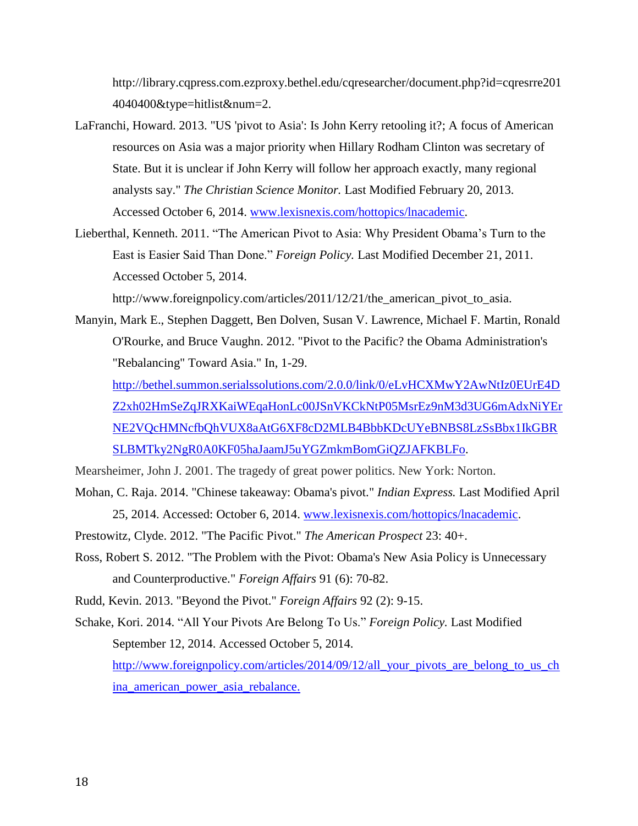http://library.cqpress.com.ezproxy.bethel.edu/cqresearcher/document.php?id=cqresrre201 4040400&type=hitlist&num=2.

- LaFranchi, Howard. 2013. "US 'pivot to Asia': Is John Kerry retooling it?; A focus of American resources on Asia was a major priority when Hillary Rodham Clinton was secretary of State. But it is unclear if John Kerry will follow her approach exactly, many regional analysts say." *The Christian Science Monitor.* Last Modified February 20, 2013. Accessed October 6, 2014. [www.lexisnexis.com/hottopics/lnacademic.](http://www.lexisnexis.com/hottopics/lnacademic)
- Lieberthal, Kenneth. 2011. "The American Pivot to Asia: Why President Obama's Turn to the East is Easier Said Than Done." *Foreign Policy.* Last Modified December 21, 2011. Accessed October 5, 2014.

http://www.foreignpolicy.com/articles/2011/12/21/the\_american\_pivot\_to\_asia.

Manyin, Mark E., Stephen Daggett, Ben Dolven, Susan V. Lawrence, Michael F. Martin, Ronald O'Rourke, and Bruce Vaughn. 2012. "Pivot to the Pacific? the Obama Administration's "Rebalancing" Toward Asia." In, 1-29.

[http://bethel.summon.serialssolutions.com/2.0.0/link/0/eLvHCXMwY2AwNtIz0EUrE4D](http://bethel.summon.serialssolutions.com/2.0.0/link/0/eLvHCXMwY2AwNtIz0EUrE4DZ2xh02HmSeZqJRXKaiWEqaHonLc00JSnVKCkNtP05MsrEz9nM3d3UG6mAdxNiYErNE2VQcHMNcfbQhVUX8aAtG6XF8cD2MLB4BbbKDcUYeBNBS8LzSsBbx1IkGBRSLBMTky2NgR0A0KF05haJaamJ5uYGZmkmBomGiQZJAFKBLFo) [Z2xh02HmSeZqJRXKaiWEqaHonLc00JSnVKCkNtP05MsrEz9nM3d3UG6mAdxNiYEr](http://bethel.summon.serialssolutions.com/2.0.0/link/0/eLvHCXMwY2AwNtIz0EUrE4DZ2xh02HmSeZqJRXKaiWEqaHonLc00JSnVKCkNtP05MsrEz9nM3d3UG6mAdxNiYErNE2VQcHMNcfbQhVUX8aAtG6XF8cD2MLB4BbbKDcUYeBNBS8LzSsBbx1IkGBRSLBMTky2NgR0A0KF05haJaamJ5uYGZmkmBomGiQZJAFKBLFo) [NE2VQcHMNcfbQhVUX8aAtG6XF8cD2MLB4BbbKDcUYeBNBS8LzSsBbx1IkGBR](http://bethel.summon.serialssolutions.com/2.0.0/link/0/eLvHCXMwY2AwNtIz0EUrE4DZ2xh02HmSeZqJRXKaiWEqaHonLc00JSnVKCkNtP05MsrEz9nM3d3UG6mAdxNiYErNE2VQcHMNcfbQhVUX8aAtG6XF8cD2MLB4BbbKDcUYeBNBS8LzSsBbx1IkGBRSLBMTky2NgR0A0KF05haJaamJ5uYGZmkmBomGiQZJAFKBLFo) [SLBMTky2NgR0A0KF05haJaamJ5uYGZmkmBomGiQZJAFKBLFo.](http://bethel.summon.serialssolutions.com/2.0.0/link/0/eLvHCXMwY2AwNtIz0EUrE4DZ2xh02HmSeZqJRXKaiWEqaHonLc00JSnVKCkNtP05MsrEz9nM3d3UG6mAdxNiYErNE2VQcHMNcfbQhVUX8aAtG6XF8cD2MLB4BbbKDcUYeBNBS8LzSsBbx1IkGBRSLBMTky2NgR0A0KF05haJaamJ5uYGZmkmBomGiQZJAFKBLFo)

Mearsheimer, John J. 2001. The tragedy of great power politics. New York: Norton.

- Mohan, C. Raja. 2014. "Chinese takeaway: Obama's pivot." *Indian Express.* Last Modified April 25, 2014. Accessed: October 6, 2014. [www.lexisnexis.com/hottopics/lnacademic.](http://www.lexisnexis.com/hottopics/lnacademic)
- Prestowitz, Clyde. 2012. "The Pacific Pivot." *The American Prospect* 23: 40+.
- Ross, Robert S. 2012. "The Problem with the Pivot: Obama's New Asia Policy is Unnecessary and Counterproductive." *Foreign Affairs* 91 (6): 70-82.

Rudd, Kevin. 2013. "Beyond the Pivot." *Foreign Affairs* 92 (2): 9-15.

Schake, Kori. 2014. "All Your Pivots Are Belong To Us." *Foreign Policy.* Last Modified September 12, 2014. Accessed October 5, 2014. [http://www.foreignpolicy.com/articles/2014/09/12/all\\_your\\_pivots\\_are\\_belong\\_to\\_us\\_ch](http://www.foreignpolicy.com/articles/2014/09/12/all_your_pivots_are_belong_to_us_china_american_power_asia_rebalance) [ina\\_american\\_power\\_asia\\_rebalance.](http://www.foreignpolicy.com/articles/2014/09/12/all_your_pivots_are_belong_to_us_china_american_power_asia_rebalance)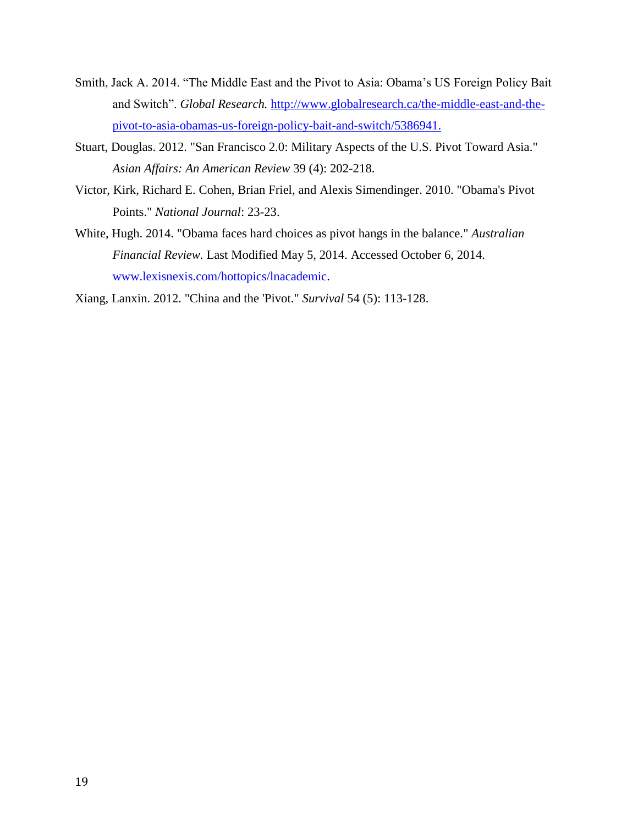- Smith, Jack A. 2014. "The Middle East and the Pivot to Asia: Obama's US Foreign Policy Bait and Switch". *Global Research.* [http://www.globalresearch.ca/the-middle-east-and-the](http://www.globalresearch.ca/the-middle-east-and-the-pivot-to-asia-obamas-us-foreign-policy-bait-and-switch/5386941)[pivot-to-asia-obamas-us-foreign-policy-bait-and-switch/5386941.](http://www.globalresearch.ca/the-middle-east-and-the-pivot-to-asia-obamas-us-foreign-policy-bait-and-switch/5386941)
- Stuart, Douglas. 2012. "San Francisco 2.0: Military Aspects of the U.S. Pivot Toward Asia." *Asian Affairs: An American Review* 39 (4): 202-218.
- Victor, Kirk, Richard E. Cohen, Brian Friel, and Alexis Simendinger. 2010. "Obama's Pivot Points." *National Journal*: 23-23.
- White, Hugh. 2014. "Obama faces hard choices as pivot hangs in the balance." *Australian Financial Review.* Last Modified May 5, 2014. Accessed October 6, 2014. [www.lexisnexis.com/hottopics/lnacademic.](http://www.lexisnexis.com/hottopics/lnacademic)

Xiang, Lanxin. 2012. "China and the 'Pivot." *Survival* 54 (5): 113-128.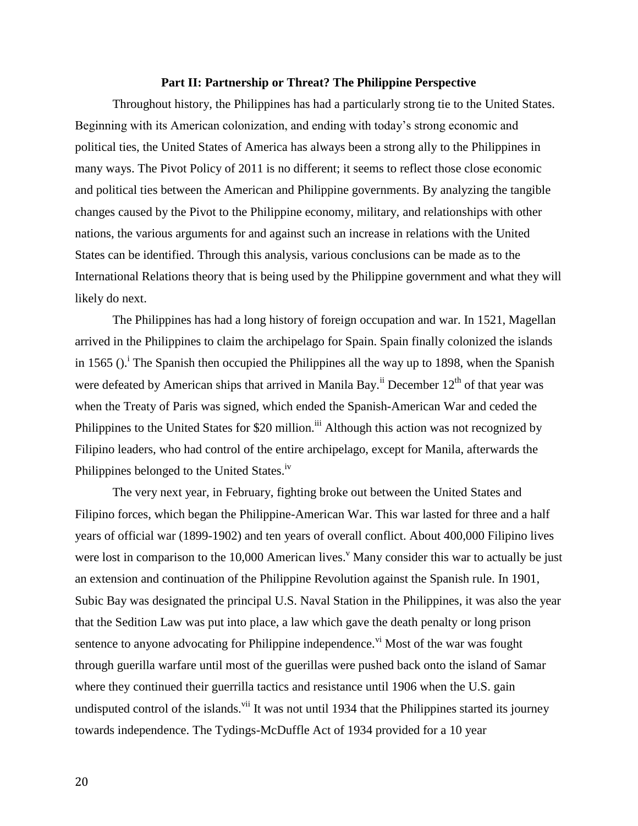#### **Part II: Partnership or Threat? The Philippine Perspective**

Throughout history, the Philippines has had a particularly strong tie to the United States. Beginning with its American colonization, and ending with today's strong economic and political ties, the United States of America has always been a strong ally to the Philippines in many ways. The Pivot Policy of 2011 is no different; it seems to reflect those close economic and political ties between the American and Philippine governments. By analyzing the tangible changes caused by the Pivot to the Philippine economy, military, and relationships with other nations, the various arguments for and against such an increase in relations with the United States can be identified. Through this analysis, various conclusions can be made as to the International Relations theory that is being used by the Philippine government and what they will likely do next.

The Philippines has had a long history of foreign occupation and war. In 1521, Magellan arrived in the Philippines to claim the archipelago for Spain. Spain finally colonized the islands in 1565 ( $0$ .<sup>i</sup> The Spanish then occupied the Philippines all the way up to 1898, when the Spanish were defeated by American ships that arrived in Manila Bay.<sup>ii</sup> December  $12<sup>th</sup>$  of that year was when the Treaty of Paris was signed, which ended the Spanish-American War and ceded the Philippines to the United States for \$20 million.<sup>iii</sup> Although this action was not recognized by Filipino leaders, who had control of the entire archipelago, except for Manila, afterwards the Philippines belonged to the United States.<sup>iv</sup>

The very next year, in February, fighting broke out between the United States and Filipino forces, which began the Philippine-American War. This war lasted for three and a half years of official war (1899-1902) and ten years of overall conflict. About 400,000 Filipino lives were lost in comparison to the  $10,000$  American lives.<sup>v</sup> Many consider this war to actually be just an extension and continuation of the Philippine Revolution against the Spanish rule. In 1901, Subic Bay was designated the principal U.S. Naval Station in the Philippines, it was also the year that the Sedition Law was put into place, a law which gave the death penalty or long prison sentence to anyone advocating for Philippine independence.<sup>vi</sup> Most of the war was fought through guerilla warfare until most of the guerillas were pushed back onto the island of Samar where they continued their guerrilla tactics and resistance until 1906 when the U.S. gain undisputed control of the islands.<sup>vii</sup> It was not until 1934 that the Philippines started its journey towards independence. The Tydings-McDuffle Act of 1934 provided for a 10 year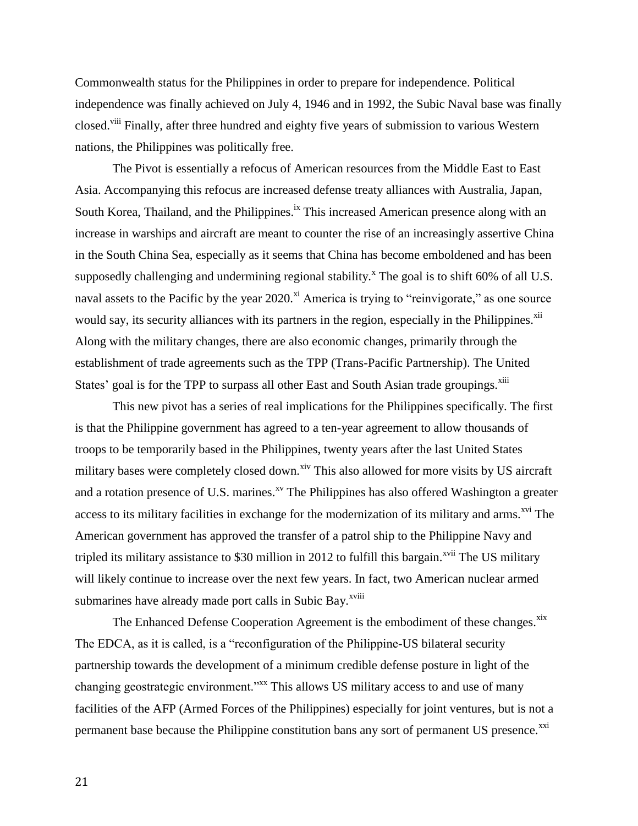Commonwealth status for the Philippines in order to prepare for independence. Political independence was finally achieved on July 4, 1946 and in 1992, the Subic Naval base was finally closed.<sup>viii</sup> Finally, after three hundred and eighty five years of submission to various Western nations, the Philippines was politically free.

The Pivot is essentially a refocus of American resources from the Middle East to East Asia. Accompanying this refocus are increased defense treaty alliances with Australia, Japan, South Korea, Thailand, and the Philippines.<sup>ix</sup> This increased American presence along with an increase in warships and aircraft are meant to counter the rise of an increasingly assertive China in the South China Sea, especially as it seems that China has become emboldened and has been supposedly challenging and undermining regional stability.<sup>x</sup> The goal is to shift 60% of all U.S. naval assets to the Pacific by the year  $2020$ <sup>xi</sup> America is trying to "reinvigorate," as one source would say, its security alliances with its partners in the region, especially in the Philippines.<sup>xii</sup> Along with the military changes, there are also economic changes, primarily through the establishment of trade agreements such as the TPP (Trans-Pacific Partnership). The United States' goal is for the TPP to surpass all other East and South Asian trade groupings.<sup>xiii</sup>

This new pivot has a series of real implications for the Philippines specifically. The first is that the Philippine government has agreed to a ten-year agreement to allow thousands of troops to be temporarily based in the Philippines, twenty years after the last United States military bases were completely closed down.<sup>xiv</sup> This also allowed for more visits by US aircraft and a rotation presence of U.S. marines.<sup>xv</sup> The Philippines has also offered Washington a greater access to its military facilities in exchange for the modernization of its military and arms.<sup>xvi</sup> The American government has approved the transfer of a patrol ship to the Philippine Navy and tripled its military assistance to \$30 million in 2012 to fulfill this bargain.<sup> $xvii$ </sup> The US military will likely continue to increase over the next few years. In fact, two American nuclear armed submarines have already made port calls in Subic Bay.<sup>xviii</sup>

The Enhanced Defense Cooperation Agreement is the embodiment of these changes.<sup>xix</sup> The EDCA, as it is called, is a "reconfiguration of the Philippine-US bilateral security partnership towards the development of a minimum credible defense posture in light of the changing geostrategic environment."<sup>xxx</sup> This allows US military access to and use of many facilities of the AFP (Armed Forces of the Philippines) especially for joint ventures, but is not a permanent base because the Philippine constitution bans any sort of permanent US presence.<sup>xxi</sup>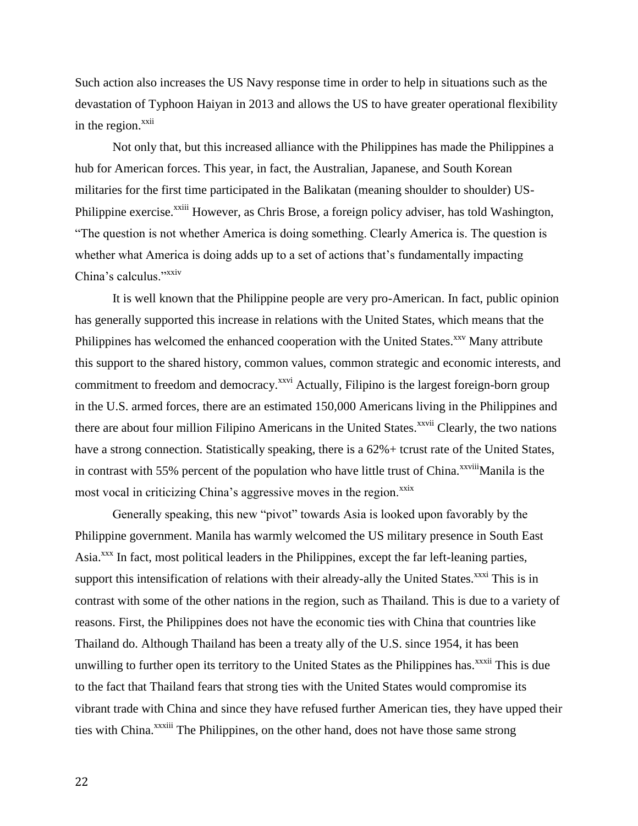Such action also increases the US Navy response time in order to help in situations such as the devastation of Typhoon Haiyan in 2013 and allows the US to have greater operational flexibility in the region. $^{xxii}$ 

Not only that, but this increased alliance with the Philippines has made the Philippines a hub for American forces. This year, in fact, the Australian, Japanese, and South Korean militaries for the first time participated in the Balikatan (meaning shoulder to shoulder) US-Philippine exercise.<sup>xxiii</sup> However, as Chris Brose, a foreign policy adviser, has told Washington, "The question is not whether America is doing something. Clearly America is. The question is whether what America is doing adds up to a set of actions that's fundamentally impacting China's calculus."<sup>xxiv</sup>

It is well known that the Philippine people are very pro-American. In fact, public opinion has generally supported this increase in relations with the United States, which means that the Philippines has welcomed the enhanced cooperation with the United States. $x_{xx}$  Many attribute this support to the shared history, common values, common strategic and economic interests, and commitment to freedom and democracy.<sup>xxvi</sup> Actually, Filipino is the largest foreign-born group in the U.S. armed forces, there are an estimated 150,000 Americans living in the Philippines and there are about four million Filipino Americans in the United States.<sup>xxvii</sup> Clearly, the two nations have a strong connection. Statistically speaking, there is a  $62\%$  + tcrust rate of the United States, in contrast with 55% percent of the population who have little trust of China.<sup>xxviii</sup>Manila is the most vocal in criticizing China's aggressive moves in the region.<sup>xxix</sup>

Generally speaking, this new "pivot" towards Asia is looked upon favorably by the Philippine government. Manila has warmly welcomed the US military presence in South East Asia<sup>xxx</sup> In fact, most political leaders in the Philippines, except the far left-leaning parties, support this intensification of relations with their already-ally the United States.<sup>xxxi</sup> This is in contrast with some of the other nations in the region, such as Thailand. This is due to a variety of reasons. First, the Philippines does not have the economic ties with China that countries like Thailand do. Although Thailand has been a treaty ally of the U.S. since 1954, it has been unwilling to further open its territory to the United States as the Philippines has.<sup>xxxii</sup> This is due to the fact that Thailand fears that strong ties with the United States would compromise its vibrant trade with China and since they have refused further American ties, they have upped their ties with China.<sup>xxxiii</sup> The Philippines, on the other hand, does not have those same strong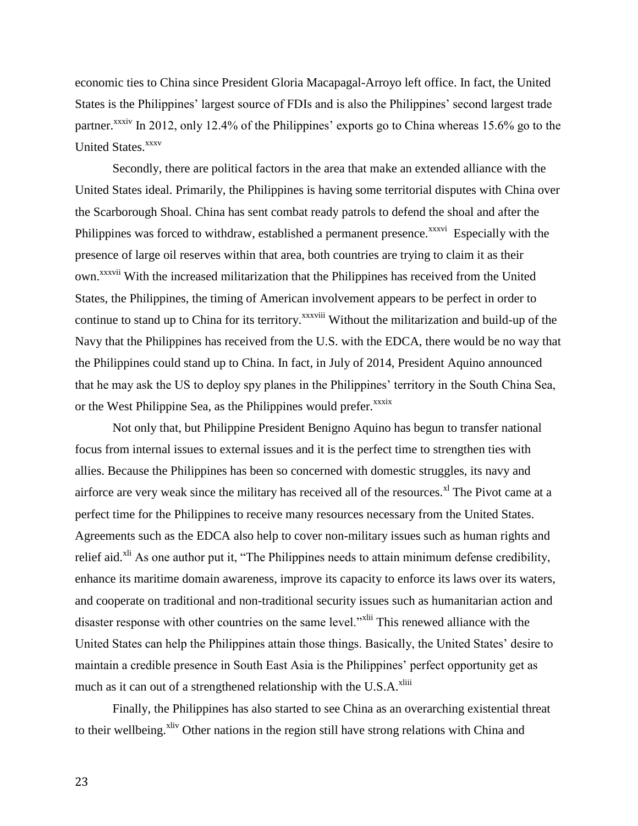economic ties to China since President Gloria Macapagal-Arroyo left office. In fact, the United States is the Philippines' largest source of FDIs and is also the Philippines' second largest trade partner.<sup>xxxiv</sup> In 2012, only 12.4% of the Philippines' exports go to China whereas 15.6% go to the United States.<sup>xxxv</sup>

Secondly, there are political factors in the area that make an extended alliance with the United States ideal. Primarily, the Philippines is having some territorial disputes with China over the Scarborough Shoal. China has sent combat ready patrols to defend the shoal and after the Philippines was forced to withdraw, established a permanent presence.<sup>xxxvi</sup> Especially with the presence of large oil reserves within that area, both countries are trying to claim it as their own.xxxvii With the increased militarization that the Philippines has received from the United States, the Philippines, the timing of American involvement appears to be perfect in order to continue to stand up to China for its territory.<sup>xxxviii</sup> Without the militarization and build-up of the Navy that the Philippines has received from the U.S. with the EDCA, there would be no way that the Philippines could stand up to China. In fact, in July of 2014, President Aquino announced that he may ask the US to deploy spy planes in the Philippines' territory in the South China Sea, or the West Philippine Sea, as the Philippines would prefer.<sup>xxxix</sup>

Not only that, but Philippine President Benigno Aquino has begun to transfer national focus from internal issues to external issues and it is the perfect time to strengthen ties with allies. Because the Philippines has been so concerned with domestic struggles, its navy and airforce are very weak since the military has received all of the resources.<sup> $x$ l</sup> The Pivot came at a perfect time for the Philippines to receive many resources necessary from the United States. Agreements such as the EDCA also help to cover non-military issues such as human rights and relief aid.<sup>xli</sup> As one author put it, "The Philippines needs to attain minimum defense credibility, enhance its maritime domain awareness, improve its capacity to enforce its laws over its waters, and cooperate on traditional and non-traditional security issues such as humanitarian action and disaster response with other countries on the same level."<sup>xlii</sup> This renewed alliance with the United States can help the Philippines attain those things. Basically, the United States' desire to maintain a credible presence in South East Asia is the Philippines' perfect opportunity get as much as it can out of a strengthened relationship with the U.S. $A$ <sup>xliii</sup>

Finally, the Philippines has also started to see China as an overarching existential threat to their wellbeing.<sup>xliv</sup> Other nations in the region still have strong relations with China and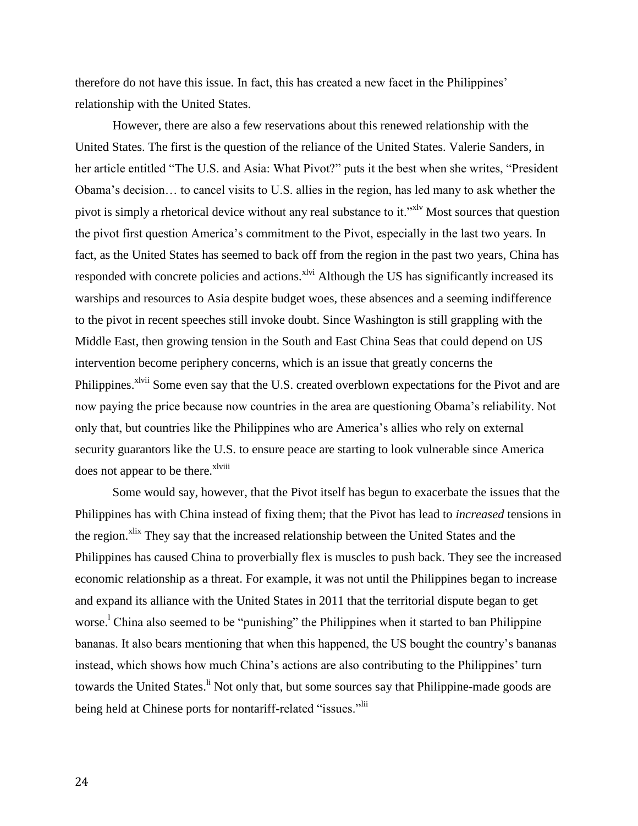therefore do not have this issue. In fact, this has created a new facet in the Philippines' relationship with the United States.

However, there are also a few reservations about this renewed relationship with the United States. The first is the question of the reliance of the United States. Valerie Sanders, in her article entitled "The U.S. and Asia: What Pivot?" puts it the best when she writes, "President Obama's decision… to cancel visits to U.S. allies in the region, has led many to ask whether the pivot is simply a rhetorical device without any real substance to it."<sup>xly</sup> Most sources that question the pivot first question America's commitment to the Pivot, especially in the last two years. In fact, as the United States has seemed to back off from the region in the past two years, China has responded with concrete policies and actions.<sup>xlvi</sup> Although the US has significantly increased its warships and resources to Asia despite budget woes, these absences and a seeming indifference to the pivot in recent speeches still invoke doubt. Since Washington is still grappling with the Middle East, then growing tension in the South and East China Seas that could depend on US intervention become periphery concerns, which is an issue that greatly concerns the Philippines.<sup>xlvii</sup> Some even say that the U.S. created overblown expectations for the Pivot and are now paying the price because now countries in the area are questioning Obama's reliability. Not only that, but countries like the Philippines who are America's allies who rely on external security guarantors like the U.S. to ensure peace are starting to look vulnerable since America does not appear to be there.<sup>xlviii</sup>

Some would say, however, that the Pivot itself has begun to exacerbate the issues that the Philippines has with China instead of fixing them; that the Pivot has lead to *increased* tensions in the region.<sup>xlix</sup> They say that the increased relationship between the United States and the Philippines has caused China to proverbially flex is muscles to push back. They see the increased economic relationship as a threat. For example, it was not until the Philippines began to increase and expand its alliance with the United States in 2011 that the territorial dispute began to get worse.<sup>1</sup> China also seemed to be "punishing" the Philippines when it started to ban Philippine bananas. It also bears mentioning that when this happened, the US bought the country's bananas instead, which shows how much China's actions are also contributing to the Philippines' turn towards the United States.<sup>li</sup> Not only that, but some sources say that Philippine-made goods are being held at Chinese ports for nontariff-related "issues."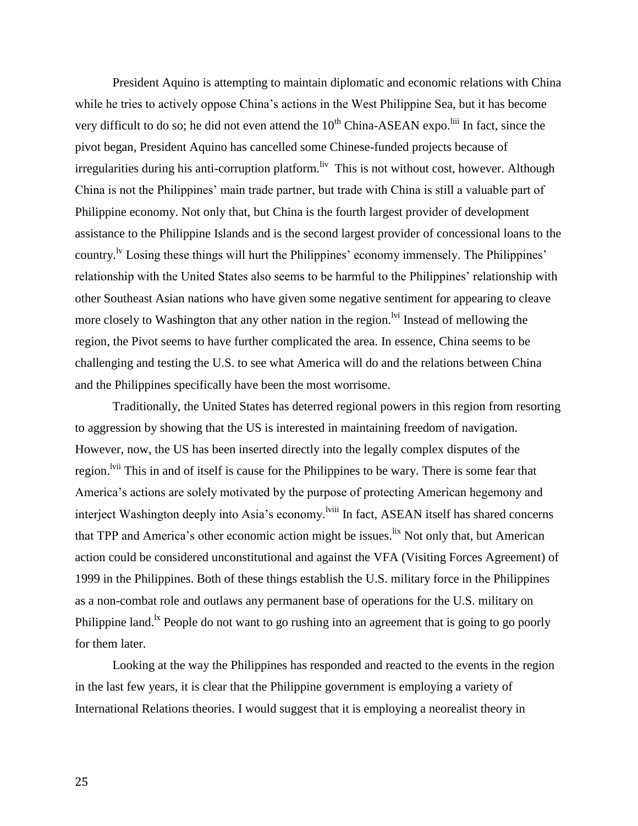President Aquino is attempting to maintain diplomatic and economic relations with China while he tries to actively oppose China's actions in the West Philippine Sea, but it has become very difficult to do so; he did not even attend the  $10<sup>th</sup> China-ASEAN$  expo.<sup>liii</sup> In fact, since the pivot began, President Aquino has cancelled some Chinese-funded projects because of irregularities during his anti-corruption platform. It This is not without cost, however. Although China is not the Philippines' main trade partner, but trade with China is still a valuable part of Philippine economy. Not only that, but China is the fourth largest provider of development assistance to the Philippine Islands and is the second largest provider of concessional loans to the country.<sup>1v</sup> Losing these things will hurt the Philippines' economy immensely. The Philippines' relationship with the United States also seems to be harmful to the Philippines' relationship with other Southeast Asian nations who have given some negative sentiment for appearing to cleave more closely to Washington that any other nation in the region.  $\frac{dv}{dt}$  Instead of mellowing the region, the Pivot seems to have further complicated the area. In essence, China seems to be challenging and testing the U.S. to see what America will do and the relations between China and the Philippines specifically have been the most worrisome.

Traditionally, the United States has deterred regional powers in this region from resorting to aggression by showing that the US is interested in maintaining freedom of navigation. However, now, the US has been inserted directly into the legally complex disputes of the region.<sup>Ivii</sup> This in and of itself is cause for the Philippines to be wary. There is some fear that America's actions are solely motivated by the purpose of protecting American hegemony and interject Washington deeply into Asia's economy.<sup>1viii</sup> In fact, ASEAN itself has shared concerns that TPP and America's other economic action might be issues.<sup>lix</sup> Not only that, but American action could be considered unconstitutional and against the VFA (Visiting Forces Agreement) of 1999 in the Philippines. Both of these things establish the U.S. military force in the Philippines as a non-combat role and outlaws any permanent base of operations for the U.S. military on Philippine land.<sup>1x</sup> People do not want to go rushing into an agreement that is going to go poorly for them later.

Looking at the way the Philippines has responded and reacted to the events in the region in the last few years, it is clear that the Philippine government is employing a variety of International Relations theories. I would suggest that it is employing a neorealist theory in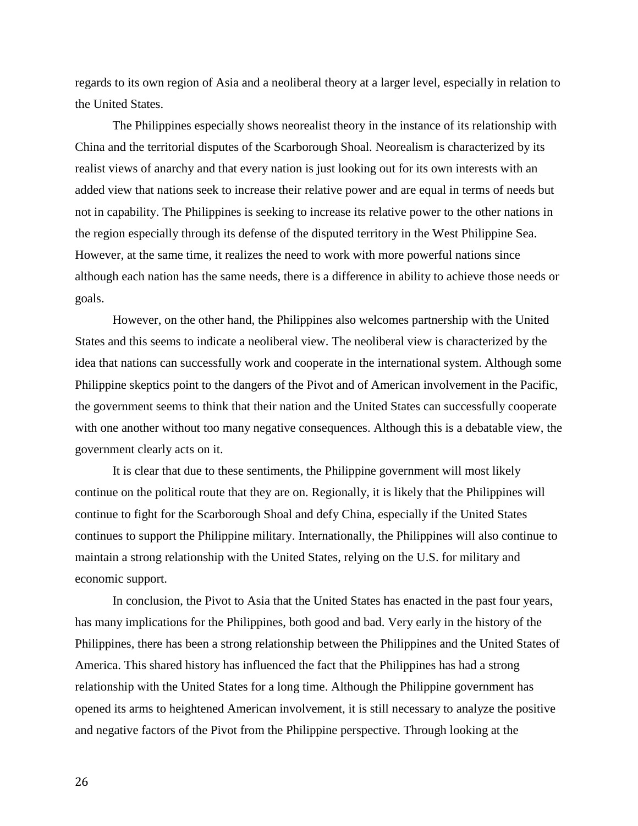regards to its own region of Asia and a neoliberal theory at a larger level, especially in relation to the United States.

The Philippines especially shows neorealist theory in the instance of its relationship with China and the territorial disputes of the Scarborough Shoal. Neorealism is characterized by its realist views of anarchy and that every nation is just looking out for its own interests with an added view that nations seek to increase their relative power and are equal in terms of needs but not in capability. The Philippines is seeking to increase its relative power to the other nations in the region especially through its defense of the disputed territory in the West Philippine Sea. However, at the same time, it realizes the need to work with more powerful nations since although each nation has the same needs, there is a difference in ability to achieve those needs or goals.

However, on the other hand, the Philippines also welcomes partnership with the United States and this seems to indicate a neoliberal view. The neoliberal view is characterized by the idea that nations can successfully work and cooperate in the international system. Although some Philippine skeptics point to the dangers of the Pivot and of American involvement in the Pacific, the government seems to think that their nation and the United States can successfully cooperate with one another without too many negative consequences. Although this is a debatable view, the government clearly acts on it.

It is clear that due to these sentiments, the Philippine government will most likely continue on the political route that they are on. Regionally, it is likely that the Philippines will continue to fight for the Scarborough Shoal and defy China, especially if the United States continues to support the Philippine military. Internationally, the Philippines will also continue to maintain a strong relationship with the United States, relying on the U.S. for military and economic support.

In conclusion, the Pivot to Asia that the United States has enacted in the past four years, has many implications for the Philippines, both good and bad. Very early in the history of the Philippines, there has been a strong relationship between the Philippines and the United States of America. This shared history has influenced the fact that the Philippines has had a strong relationship with the United States for a long time. Although the Philippine government has opened its arms to heightened American involvement, it is still necessary to analyze the positive and negative factors of the Pivot from the Philippine perspective. Through looking at the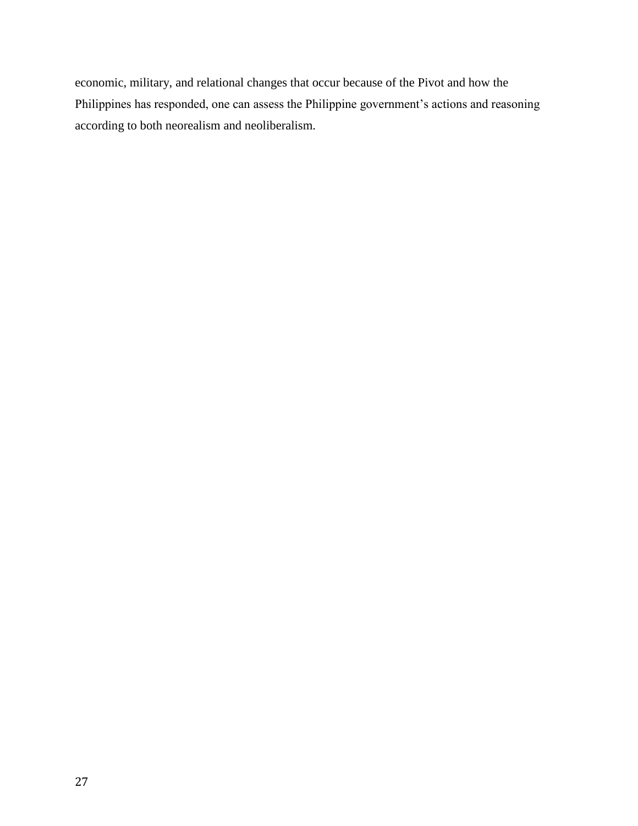economic, military, and relational changes that occur because of the Pivot and how the Philippines has responded, one can assess the Philippine government's actions and reasoning according to both neorealism and neoliberalism.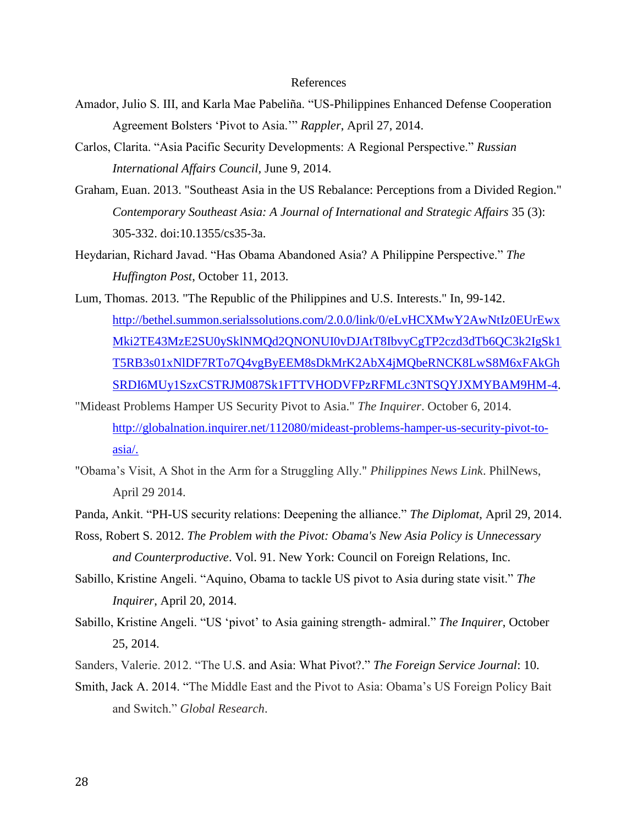### References

- Amador, Julio S. III, and Karla Mae Pabeliña. "US-Philippines Enhanced Defense Cooperation Agreement Bolsters 'Pivot to Asia.'" *Rappler*, April 27, 2014.
- Carlos, Clarita. "Asia Pacific Security Developments: A Regional Perspective." *Russian International Affairs Council,* June 9, 2014.
- Graham, Euan. 2013. "Southeast Asia in the US Rebalance: Perceptions from a Divided Region." *Contemporary Southeast Asia: A Journal of International and Strategic Affairs* 35 (3): 305-332. doi:10.1355/cs35-3a.
- Heydarian, Richard Javad. "Has Obama Abandoned Asia? A Philippine Perspective." *The Huffington Post*, October 11, 2013.
- Lum, Thomas. 2013. "The Republic of the Philippines and U.S. Interests." In, 99-142. [http://bethel.summon.serialssolutions.com/2.0.0/link/0/eLvHCXMwY2AwNtIz0EUrEwx](http://bethel.summon.serialssolutions.com/2.0.0/link/0/eLvHCXMwY2AwNtIz0EUrEwxMki2TE43MzE2SU0ySklNMQd2QNONUI0vDJAtT8IbvyCgTP2czd3dTb6QC3k2IgSk1T5RB3s01xNlDF7RTo7Q4vgByEEM8sDkMrK2AbX4jMQbeRNCK8LwS8M6xFAkGhSRDI6MUy1SzxCSTRJM087Sk1FTTVHODVFPzRFMLc3NTSQYJXMYBAM9HM-4) [Mki2TE43MzE2SU0ySklNMQd2QNONUI0vDJAtT8IbvyCgTP2czd3dTb6QC3k2IgSk1](http://bethel.summon.serialssolutions.com/2.0.0/link/0/eLvHCXMwY2AwNtIz0EUrEwxMki2TE43MzE2SU0ySklNMQd2QNONUI0vDJAtT8IbvyCgTP2czd3dTb6QC3k2IgSk1T5RB3s01xNlDF7RTo7Q4vgByEEM8sDkMrK2AbX4jMQbeRNCK8LwS8M6xFAkGhSRDI6MUy1SzxCSTRJM087Sk1FTTVHODVFPzRFMLc3NTSQYJXMYBAM9HM-4) [T5RB3s01xNlDF7RTo7Q4vgByEEM8sDkMrK2AbX4jMQbeRNCK8LwS8M6xFAkGh](http://bethel.summon.serialssolutions.com/2.0.0/link/0/eLvHCXMwY2AwNtIz0EUrEwxMki2TE43MzE2SU0ySklNMQd2QNONUI0vDJAtT8IbvyCgTP2czd3dTb6QC3k2IgSk1T5RB3s01xNlDF7RTo7Q4vgByEEM8sDkMrK2AbX4jMQbeRNCK8LwS8M6xFAkGhSRDI6MUy1SzxCSTRJM087Sk1FTTVHODVFPzRFMLc3NTSQYJXMYBAM9HM-4) [SRDI6MUy1SzxCSTRJM087Sk1FTTVHODVFPzRFMLc3NTSQYJXMYBAM9HM-4.](http://bethel.summon.serialssolutions.com/2.0.0/link/0/eLvHCXMwY2AwNtIz0EUrEwxMki2TE43MzE2SU0ySklNMQd2QNONUI0vDJAtT8IbvyCgTP2czd3dTb6QC3k2IgSk1T5RB3s01xNlDF7RTo7Q4vgByEEM8sDkMrK2AbX4jMQbeRNCK8LwS8M6xFAkGhSRDI6MUy1SzxCSTRJM087Sk1FTTVHODVFPzRFMLc3NTSQYJXMYBAM9HM-4)
- "Mideast Problems Hamper US Security Pivot to Asia." *The Inquirer*. October 6, 2014. [http://globalnation.inquirer.net/112080/mideast-problems-hamper-us-security-pivot-to](http://globalnation.inquirer.net/112080/mideast-problems-hamper-us-security-pivot-to-asia/)[asia/.](http://globalnation.inquirer.net/112080/mideast-problems-hamper-us-security-pivot-to-asia/)
- "Obama's Visit, A Shot in the Arm for a Struggling Ally." *Philippines News Link*. PhilNews, April 29 2014.
- Panda, Ankit. "PH-US security relations: Deepening the alliance." *The Diplomat,* April 29, 2014.
- Ross, Robert S. 2012. *The Problem with the Pivot: Obama's New Asia Policy is Unnecessary and Counterproductive*. Vol. 91. New York: Council on Foreign Relations, Inc.
- Sabillo, Kristine Angeli. "Aquino, Obama to tackle US pivot to Asia during state visit." *The Inquirer*, April 20, 2014.
- Sabillo, Kristine Angeli. "US 'pivot' to Asia gaining strength- admiral." *The Inquirer*, October 25, 2014.
- Sanders, Valerie. 2012. "The U.S. and Asia: What Pivot?." *The Foreign Service Journal*: 10.
- Smith, Jack A. 2014. "The Middle East and the Pivot to Asia: Obama's US Foreign Policy Bait and Switch." *Global Research*.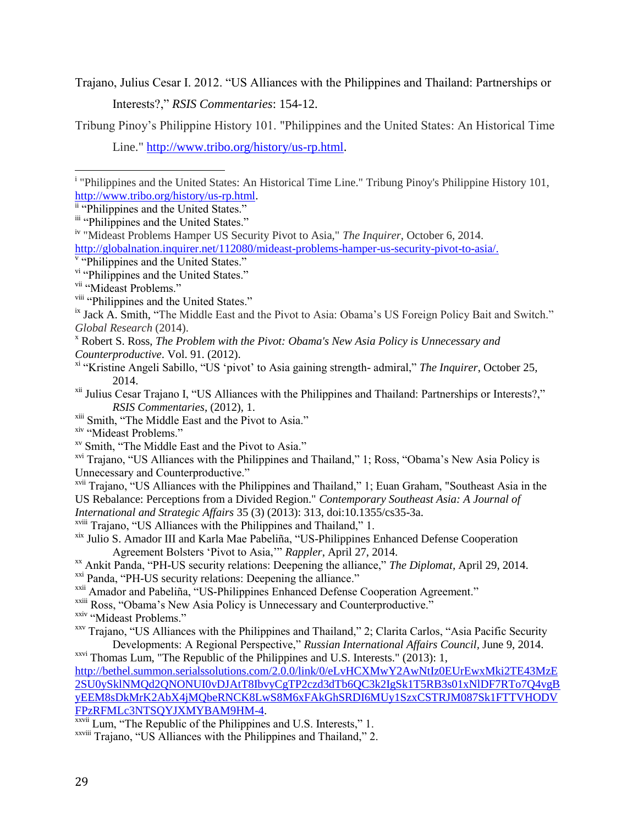Trajano, Julius Cesar I. 2012. "US Alliances with the Philippines and Thailand: Partnerships or Interests?," *RSIS Commentaries*: 154-12.

Tribung Pinoy's Philippine History 101. "Philippines and the United States: An Historical Time

<sup>viii</sup> "Philippines and the United States."

- <sup>x</sup> Robert S. Ross, *The Problem with the Pivot: Obama's New Asia Policy is Unnecessary and Counterproductive*. Vol. 91. (2012).
- xi "Kristine Angeli Sabillo, "US 'pivot' to Asia gaining strength- admiral," *The Inquirer*, October 25, 2014.
- <sup>xii</sup> Julius Cesar Trajano I, "US Alliances with the Philippines and Thailand: Partnerships or Interests?," *RSIS Commentaries*, (2012), 1.
- xiii Smith, "The Middle East and the Pivot to Asia."

<sup>xiv</sup> "Mideast Problems."

xv Smith, "The Middle East and the Pivot to Asia."

xvi Trajano, "US Alliances with the Philippines and Thailand," 1; Ross, "Obama's New Asia Policy is Unnecessary and Counterproductive."

xvii Trajano, "US Alliances with the Philippines and Thailand," 1; Euan Graham, "Southeast Asia in the US Rebalance: Perceptions from a Divided Region." *Contemporary Southeast Asia: A Journal of International and Strategic Affairs* 35 (3) (2013): 313, doi:10.1355/cs35-3a.

- xviii Trajano, "US Alliances with the Philippines and Thailand," 1.
- xix Julio S. Amador III and Karla Mae Pabeliña, "US-Philippines Enhanced Defense Cooperation Agreement Bolsters 'Pivot to Asia,'" *Rappler*, April 27, 2014.
- xx Ankit Panda, "PH-US security relations: Deepening the alliance," *The Diplomat,* April 29, 2014.
- <sup>xxi</sup> Panda, "PH-US security relations: Deepening the alliance."

xxii Amador and Pabeliña, "US-Philippines Enhanced Defense Cooperation Agreement."

- <sup>xxiii</sup> Ross, "Obama's New Asia Policy is Unnecessary and Counterproductive."
- xxiv "Mideast Problems."
- xxv Trajano, "US Alliances with the Philippines and Thailand," 2; Clarita Carlos, "Asia Pacific Security Developments: A Regional Perspective," *Russian International Affairs Council,* June 9, 2014.

xxvi Thomas Lum, "The Republic of the Philippines and U.S. Interests." (2013): 1,

[http://bethel.summon.serialssolutions.com/2.0.0/link/0/eLvHCXMwY2AwNtIz0EUrEwxMki2TE43MzE](http://bethel.summon.serialssolutions.com/2.0.0/link/0/eLvHCXMwY2AwNtIz0EUrEwxMki2TE43MzE2SU0ySklNMQd2QNONUI0vDJAtT8IbvyCgTP2czd3dTb6QC3k2IgSk1T5RB3s01xNlDF7RTo7Q4vgByEEM8sDkMrK2AbX4jMQbeRNCK8LwS8M6xFAkGhSRDI6MUy1SzxCSTRJM087Sk1FTTVHODVFPzRFMLc3NTSQYJXMYBAM9HM-4) [2SU0ySklNMQd2QNONUI0vDJAtT8IbvyCgTP2czd3dTb6QC3k2IgSk1T5RB3s01xNlDF7RTo7Q4vgB](http://bethel.summon.serialssolutions.com/2.0.0/link/0/eLvHCXMwY2AwNtIz0EUrEwxMki2TE43MzE2SU0ySklNMQd2QNONUI0vDJAtT8IbvyCgTP2czd3dTb6QC3k2IgSk1T5RB3s01xNlDF7RTo7Q4vgByEEM8sDkMrK2AbX4jMQbeRNCK8LwS8M6xFAkGhSRDI6MUy1SzxCSTRJM087Sk1FTTVHODVFPzRFMLc3NTSQYJXMYBAM9HM-4) [yEEM8sDkMrK2AbX4jMQbeRNCK8LwS8M6xFAkGhSRDI6MUy1SzxCSTRJM087Sk1FTTVHODV](http://bethel.summon.serialssolutions.com/2.0.0/link/0/eLvHCXMwY2AwNtIz0EUrEwxMki2TE43MzE2SU0ySklNMQd2QNONUI0vDJAtT8IbvyCgTP2czd3dTb6QC3k2IgSk1T5RB3s01xNlDF7RTo7Q4vgByEEM8sDkMrK2AbX4jMQbeRNCK8LwS8M6xFAkGhSRDI6MUy1SzxCSTRJM087Sk1FTTVHODVFPzRFMLc3NTSQYJXMYBAM9HM-4) [FPzRFMLc3NTSQYJXMYBAM9HM-4.](http://bethel.summon.serialssolutions.com/2.0.0/link/0/eLvHCXMwY2AwNtIz0EUrEwxMki2TE43MzE2SU0ySklNMQd2QNONUI0vDJAtT8IbvyCgTP2czd3dTb6QC3k2IgSk1T5RB3s01xNlDF7RTo7Q4vgByEEM8sDkMrK2AbX4jMQbeRNCK8LwS8M6xFAkGhSRDI6MUy1SzxCSTRJM087Sk1FTTVHODVFPzRFMLc3NTSQYJXMYBAM9HM-4)

xxvii Lum, "The Republic of the Philippines and U.S. Interests," 1.

xxviii Trajano, "US Alliances with the Philippines and Thailand," 2.

Line." [http://www.tribo.org/history/us-rp.html.](http://www.tribo.org/history/us-rp.html)

 $\overline{\phantom{a}}$ <sup>i</sup> "Philippines and the United States: An Historical Time Line." Tribung Pinoy's Philippine History 101, [http://www.tribo.org/history/us-rp.html.](http://www.tribo.org/history/us-rp.html)

ii "Philippines and the United States."

iii "Philippines and the United States."

iv "Mideast Problems Hamper US Security Pivot to Asia," *The Inquirer*, October 6, 2014.

[http://globalnation.inquirer.net/112080/mideast-problems-hamper-us-security-pivot-to-asia/.](http://globalnation.inquirer.net/112080/mideast-problems-hamper-us-security-pivot-to-asia/)<br><sup>v</sup> "Philippines and the United States."

vi "Philippines and the United States."

<sup>&</sup>lt;sup>vii</sup> "Mideast Problems."

<sup>&</sup>lt;sup>ix</sup> Jack A. Smith, "The Middle East and the Pivot to Asia: Obama's US Foreign Policy Bait and Switch." *Global Research* (2014).